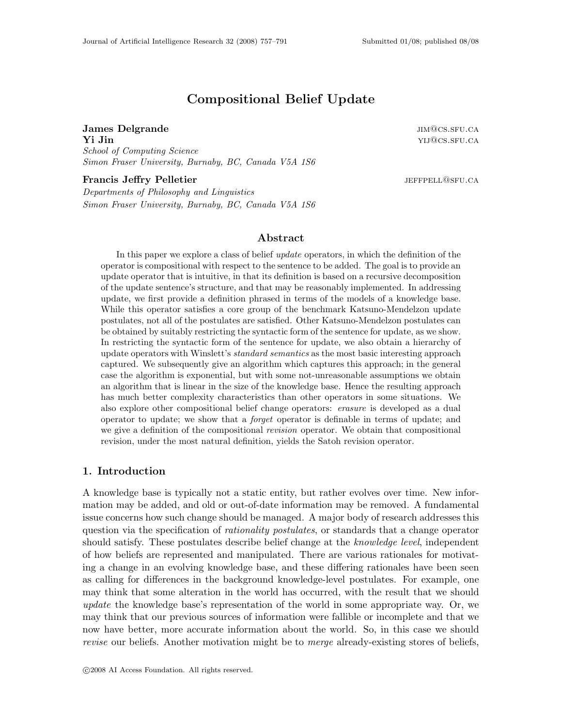# Compositional Belief Update

James Delgrande is a set of the set of the set of the set of the set of the set of the set of the set of the set of the set of the set of the set of the set of the set of the set of the set of the set of the set of the set  $\mathbf{Yi}$  Jin  $\mathbf{Yii}$  and  $\mathbf{Yii}$  and  $\mathbf{Yii}$  and  $\mathbf{Yii}$  and  $\mathbf{Yii}$  and  $\mathbf{Yii}$  and  $\mathbf{Yiii}$  and  $\mathbf{Yiii}$  and  $\mathbf{Yiii}$  and  $\mathbf{Yiv}$  and  $\mathbf{Yiv}$  and  $\mathbf{Yiv}$  and  $\mathbf{Yiv}$  and  $\mathbf{Yiv}$  and  $\mathbf{Yiv}$  a School of Computing Science Simon Fraser University, Burnaby, BC, Canada V5A 1S6

Francis Jeffry Pelletier is a set of the state of the state of the state of the state of the state of the state of the state of the state of the state of the state of the state of the state of the state of the state of the

Departments of Philosophy and Linguistics Simon Fraser University, Burnaby, BC, Canada V5A 1S6

# Abstract

In this paper we explore a class of belief update operators, in which the definition of the operator is compositional with respect to the sentence to be added. The goal is to provide an update operator that is intuitive, in that its definition is based on a recursive decomposition of the update sentence's structure, and that may be reasonably implemented. In addressing update, we first provide a definition phrased in terms of the models of a knowledge base. While this operator satisfies a core group of the benchmark Katsuno-Mendelzon update postulates, not all of the postulates are satisfied. Other Katsuno-Mendelzon postulates can be obtained by suitably restricting the syntactic form of the sentence for update, as we show. In restricting the syntactic form of the sentence for update, we also obtain a hierarchy of update operators with Winslett's *standard semantics* as the most basic interesting approach captured. We subsequently give an algorithm which captures this approach; in the general case the algorithm is exponential, but with some not-unreasonable assumptions we obtain an algorithm that is linear in the size of the knowledge base. Hence the resulting approach has much better complexity characteristics than other operators in some situations. We also explore other compositional belief change operators: erasure is developed as a dual operator to update; we show that a forget operator is definable in terms of update; and we give a definition of the compositional *revision* operator. We obtain that compositional revision, under the most natural definition, yields the Satoh revision operator.

# 1. Introduction

A knowledge base is typically not a static entity, but rather evolves over time. New information may be added, and old or out-of-date information may be removed. A fundamental issue concerns how such change should be managed. A major body of research addresses this question via the specification of *rationality postulates*, or standards that a change operator should satisfy. These postulates describe belief change at the *knowledge level*, independent of how beliefs are represented and manipulated. There are various rationales for motivating a change in an evolving knowledge base, and these differing rationales have been seen as calling for differences in the background knowledge-level postulates. For example, one may think that some alteration in the world has occurred, with the result that we should update the knowledge base's representation of the world in some appropriate way. Or, we may think that our previous sources of information were fallible or incomplete and that we now have better, more accurate information about the world. So, in this case we should revise our beliefs. Another motivation might be to merge already-existing stores of beliefs,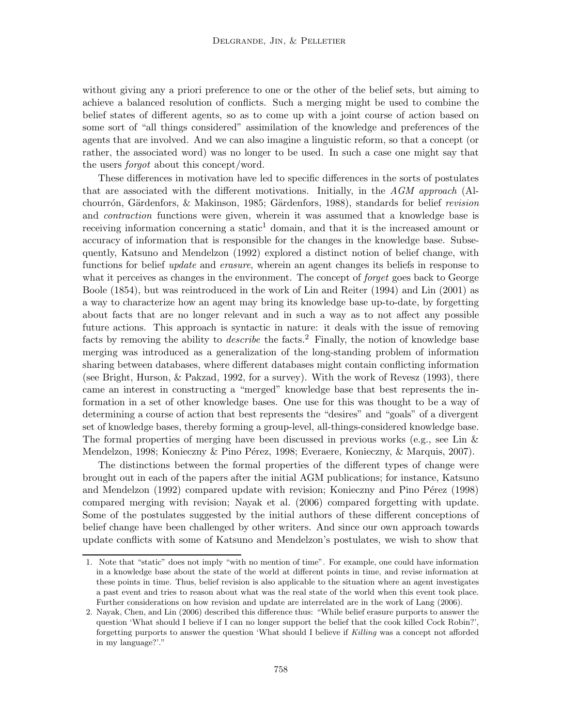without giving any a priori preference to one or the other of the belief sets, but aiming to achieve a balanced resolution of conflicts. Such a merging might be used to combine the belief states of different agents, so as to come up with a joint course of action based on some sort of "all things considered" assimilation of the knowledge and preferences of the agents that are involved. And we can also imagine a linguistic reform, so that a concept (or rather, the associated word) was no longer to be used. In such a case one might say that the users forgot about this concept/word.

These differences in motivation have led to specific differences in the sorts of postulates that are associated with the different motivations. Initially, in the  $AGM$  approach (Alchourrón, Gärdenfors, & Makinson, 1985; Gärdenfors, 1988), standards for belief revision and contraction functions were given, wherein it was assumed that a knowledge base is receiving information concerning a static<sup>1</sup> domain, and that it is the increased amount or accuracy of information that is responsible for the changes in the knowledge base. Subsequently, Katsuno and Mendelzon (1992) explored a distinct notion of belief change, with functions for belief *update* and *erasure*, wherein an agent changes its beliefs in response to what it perceives as changes in the environment. The concept of *forget* goes back to George Boole (1854), but was reintroduced in the work of Lin and Reiter (1994) and Lin (2001) as a way to characterize how an agent may bring its knowledge base up-to-date, by forgetting about facts that are no longer relevant and in such a way as to not affect any possible future actions. This approach is syntactic in nature: it deals with the issue of removing facts by removing the ability to *describe* the facts.<sup>2</sup> Finally, the notion of knowledge base merging was introduced as a generalization of the long-standing problem of information sharing between databases, where different databases might contain conflicting information (see Bright, Hurson, & Pakzad, 1992, for a survey). With the work of Revesz (1993), there came an interest in constructing a "merged" knowledge base that best represents the information in a set of other knowledge bases. One use for this was thought to be a way of determining a course of action that best represents the "desires" and "goals" of a divergent set of knowledge bases, thereby forming a group-level, all-things-considered knowledge base. The formal properties of merging have been discussed in previous works (e.g., see Lin  $\&$ Mendelzon, 1998; Konieczny & Pino Pérez, 1998; Everaere, Konieczny, & Marquis, 2007).

The distinctions between the formal properties of the different types of change were brought out in each of the papers after the initial AGM publications; for instance, Katsuno and Mendelzon (1992) compared update with revision; Konieczny and Pino Pérez (1998) compared merging with revision; Nayak et al. (2006) compared forgetting with update. Some of the postulates suggested by the initial authors of these different conceptions of belief change have been challenged by other writers. And since our own approach towards update conflicts with some of Katsuno and Mendelzon's postulates, we wish to show that

<sup>1.</sup> Note that "static" does not imply "with no mention of time". For example, one could have information in a knowledge base about the state of the world at different points in time, and revise information at these points in time. Thus, belief revision is also applicable to the situation where an agent investigates a past event and tries to reason about what was the real state of the world when this event took place. Further considerations on how revision and update are interrelated are in the work of Lang (2006).

<sup>2.</sup> Nayak, Chen, and Lin (2006) described this difference thus: "While belief erasure purports to answer the question 'What should I believe if I can no longer support the belief that the cook killed Cock Robin?', forgetting purports to answer the question 'What should I believe if Killing was a concept not afforded in my language?'."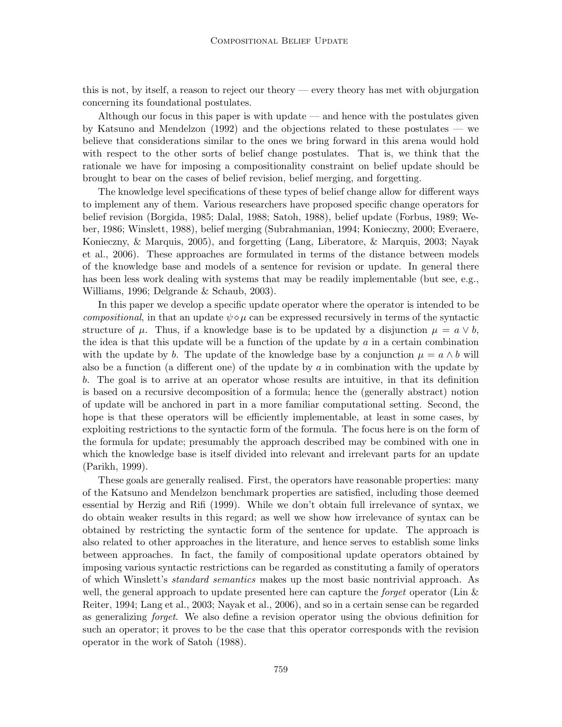this is not, by itself, a reason to reject our theory — every theory has met with objurgation concerning its foundational postulates.

Although our focus in this paper is with update — and hence with the postulates given by Katsuno and Mendelzon (1992) and the objections related to these postulates — we believe that considerations similar to the ones we bring forward in this arena would hold with respect to the other sorts of belief change postulates. That is, we think that the rationale we have for imposing a compositionality constraint on belief update should be brought to bear on the cases of belief revision, belief merging, and forgetting.

The knowledge level specifications of these types of belief change allow for different ways to implement any of them. Various researchers have proposed specific change operators for belief revision (Borgida, 1985; Dalal, 1988; Satoh, 1988), belief update (Forbus, 1989; Weber, 1986; Winslett, 1988), belief merging (Subrahmanian, 1994; Konieczny, 2000; Everaere, Konieczny, & Marquis, 2005), and forgetting (Lang, Liberatore, & Marquis, 2003; Nayak et al., 2006). These approaches are formulated in terms of the distance between models of the knowledge base and models of a sentence for revision or update. In general there has been less work dealing with systems that may be readily implementable (but see, e.g., Williams, 1996; Delgrande & Schaub, 2003).

In this paper we develop a specific update operator where the operator is intended to be compositional, in that an update  $\psi \diamond \mu$  can be expressed recursively in terms of the syntactic structure of  $\mu$ . Thus, if a knowledge base is to be updated by a disjunction  $\mu = a \vee b$ , the idea is that this update will be a function of the update by  $a$  in a certain combination with the update by b. The update of the knowledge base by a conjunction  $\mu = a \wedge b$  will also be a function (a different one) of the update by  $a$  in combination with the update by b. The goal is to arrive at an operator whose results are intuitive, in that its definition is based on a recursive decomposition of a formula; hence the (generally abstract) notion of update will be anchored in part in a more familiar computational setting. Second, the hope is that these operators will be efficiently implementable, at least in some cases, by exploiting restrictions to the syntactic form of the formula. The focus here is on the form of the formula for update; presumably the approach described may be combined with one in which the knowledge base is itself divided into relevant and irrelevant parts for an update (Parikh, 1999).

These goals are generally realised. First, the operators have reasonable properties: many of the Katsuno and Mendelzon benchmark properties are satisfied, including those deemed essential by Herzig and Rifi (1999). While we don't obtain full irrelevance of syntax, we do obtain weaker results in this regard; as well we show how irrelevance of syntax can be obtained by restricting the syntactic form of the sentence for update. The approach is also related to other approaches in the literature, and hence serves to establish some links between approaches. In fact, the family of compositional update operators obtained by imposing various syntactic restrictions can be regarded as constituting a family of operators of which Winslett's standard semantics makes up the most basic nontrivial approach. As well, the general approach to update presented here can capture the *forget* operator (Lin  $\&$ Reiter, 1994; Lang et al., 2003; Nayak et al., 2006), and so in a certain sense can be regarded as generalizing forget. We also define a revision operator using the obvious definition for such an operator; it proves to be the case that this operator corresponds with the revision operator in the work of Satoh (1988).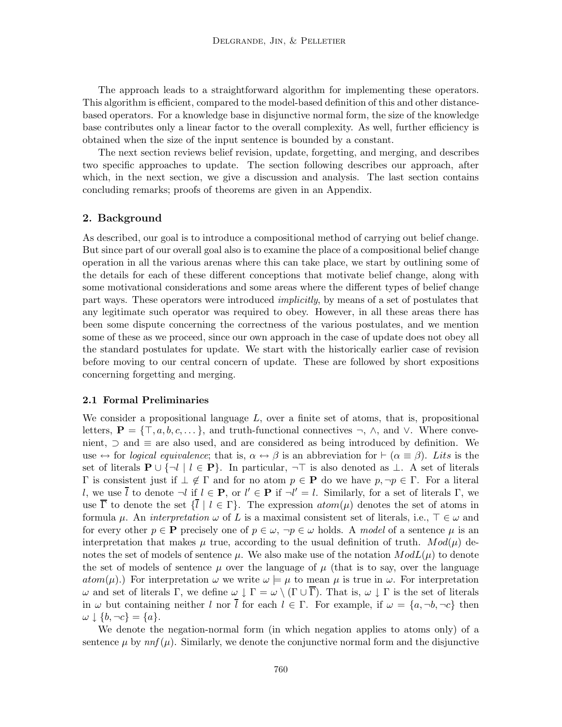The approach leads to a straightforward algorithm for implementing these operators. This algorithm is efficient, compared to the model-based definition of this and other distancebased operators. For a knowledge base in disjunctive normal form, the size of the knowledge base contributes only a linear factor to the overall complexity. As well, further efficiency is obtained when the size of the input sentence is bounded by a constant.

The next section reviews belief revision, update, forgetting, and merging, and describes two specific approaches to update. The section following describes our approach, after which, in the next section, we give a discussion and analysis. The last section contains concluding remarks; proofs of theorems are given in an Appendix.

## 2. Background

As described, our goal is to introduce a compositional method of carrying out belief change. But since part of our overall goal also is to examine the place of a compositional belief change operation in all the various arenas where this can take place, we start by outlining some of the details for each of these different conceptions that motivate belief change, along with some motivational considerations and some areas where the different types of belief change part ways. These operators were introduced *implicitly*, by means of a set of postulates that any legitimate such operator was required to obey. However, in all these areas there has been some dispute concerning the correctness of the various postulates, and we mention some of these as we proceed, since our own approach in the case of update does not obey all the standard postulates for update. We start with the historically earlier case of revision before moving to our central concern of update. These are followed by short expositions concerning forgetting and merging.

#### 2.1 Formal Preliminaries

We consider a propositional language  $L$ , over a finite set of atoms, that is, propositional letters,  $\mathbf{P} = \{\top, a, b, c, \dots\}$ , and truth-functional connectives  $\neg$ ,  $\wedge$ , and  $\vee$ . Where convenient, ⊃ and ≡ are also used, and are considered as being introduced by definition. We use  $\leftrightarrow$  for logical equivalence; that is,  $\alpha \leftrightarrow \beta$  is an abbreviation for  $\vdash (\alpha \equiv \beta)$ . Lits is the set of literals  $P \cup \{\neg l \mid l \in P\}$ . In particular,  $\neg \top$  is also denoted as  $\bot$ . A set of literals Γ is consistent just if  $\bot \notin Γ$  and for no atom  $p ∈ \mathbf{P}$  do we have  $p, \neg p ∈ Γ$ . For a literal l, we use  $\bar{l}$  to denote  $\neg l$  if  $l \in \mathbf{P}$ , or  $l' \in \mathbf{P}$  if  $\neg l' = l$ . Similarly, for a set of literals  $\Gamma$ , we use  $\overline{\Gamma}$  to denote the set  $\{\overline{l} \mid l \in \Gamma\}$ . The expression  $atom(\mu)$  denotes the set of atoms in formula  $\mu$ . An *interpretation*  $\omega$  of L is a maximal consistent set of literals, i.e.,  $\top \in \omega$  and for every other  $p \in \mathbf{P}$  precisely one of  $p \in \omega$ ,  $\neg p \in \omega$  holds. A model of a sentence  $\mu$  is an interpretation that makes  $\mu$  true, according to the usual definition of truth.  $Mod(\mu)$  denotes the set of models of sentence  $\mu$ . We also make use of the notation  $ModL(\mu)$  to denote the set of models of sentence  $\mu$  over the language of  $\mu$  (that is to say, over the language  $atom(\mu)$ .) For interpretation  $\omega$  we write  $\omega \models \mu$  to mean  $\mu$  is true in  $\omega$ . For interpretation ω and set of literals Γ, we define  $ω \downarrow Γ = ω \setminus (Γ ∪ Γ)$ . That is,  $ω \downarrow Γ$  is the set of literals in  $\omega$  but containing neither l nor  $\overline{l}$  for each  $l \in \Gamma$ . For example, if  $\omega = \{a, \neg b, \neg c\}$  then  $\omega \downarrow \{b, \neg c\} = \{a\}.$ 

We denote the negation-normal form (in which negation applies to atoms only) of a sentence  $\mu$  by  $n n f(\mu)$ . Similarly, we denote the conjunctive normal form and the disjunctive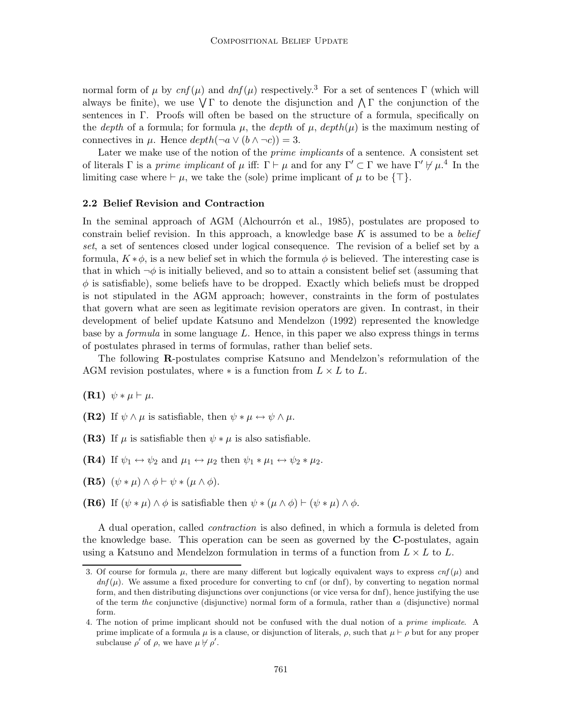normal form of μ by  $cnf(\mu)$  and  $dnf(\mu)$  respectively.<sup>3</sup> For a set of sentences Γ (which will always be finite), we use  $\sqrt{\Gamma}$  to denote the disjunction and  $\Lambda \Gamma$  the conjunction of the sentences in Γ. Proofs will often be based on the structure of a formula, specifically on the depth of a formula; for formula  $\mu$ , the depth of  $\mu$ , depth $(\mu)$  is the maximum nesting of connectives in  $\mu$ . Hence  $depth(\neg a \vee (b \wedge \neg c)) = 3$ .

Later we make use of the notion of the *prime implicants* of a sentence. A consistent set of literals  $\Gamma$  is a prime implicant of  $\mu$  iff:  $\Gamma \vdash \mu$  and for any  $\Gamma' \subset \Gamma$  we have  $\Gamma' \not\vdash \mu$ .<sup>4</sup> In the limiting case where  $\vdash \mu$ , we take the (sole) prime implicant of  $\mu$  to be {⊤}.

#### 2.2 Belief Revision and Contraction

In the seminal approach of AGM (Alchourron et al., 1985), postulates are proposed to constrain belief revision. In this approach, a knowledge base K is assumed to be a *belief* set, a set of sentences closed under logical consequence. The revision of a belief set by a formula,  $K * \phi$ , is a new belief set in which the formula  $\phi$  is believed. The interesting case is that in which  $\neg \phi$  is initially believed, and so to attain a consistent belief set (assuming that  $\phi$  is satisfiable), some beliefs have to be dropped. Exactly which beliefs must be dropped is not stipulated in the AGM approach; however, constraints in the form of postulates that govern what are seen as legitimate revision operators are given. In contrast, in their development of belief update Katsuno and Mendelzon (1992) represented the knowledge base by a formula in some language L. Hence, in this paper we also express things in terms of postulates phrased in terms of formulas, rather than belief sets.

The following R-postulates comprise Katsuno and Mendelzon's reformulation of the AGM revision postulates, where  $*$  is a function from  $L \times L$  to L.

 $(R1) \psi * \mu \vdash \mu.$ 

(R2) If  $\psi \wedge \mu$  is satisfiable, then  $\psi * \mu \leftrightarrow \psi \wedge \mu$ .

- (R3) If  $\mu$  is satisfiable then  $\psi * \mu$  is also satisfiable.
- (R4) If  $\psi_1 \leftrightarrow \psi_2$  and  $\mu_1 \leftrightarrow \mu_2$  then  $\psi_1 * \mu_1 \leftrightarrow \psi_2 * \mu_2$ .
- (R5)  $(\psi * \mu) \wedge \phi \vdash \psi * (\mu \wedge \phi)$ .
- (R6) If  $(\psi * \mu) \wedge \phi$  is satisfiable then  $\psi * (\mu \wedge \phi) \vdash (\psi * \mu) \wedge \phi$ .

A dual operation, called contraction is also defined, in which a formula is deleted from the knowledge base. This operation can be seen as governed by the C-postulates, again using a Katsuno and Mendelzon formulation in terms of a function from  $L \times L$  to L.

<sup>3.</sup> Of course for formula  $\mu$ , there are many different but logically equivalent ways to express  $cnf(\mu)$  and  $dn f(\mu)$ . We assume a fixed procedure for converting to cnf (or dnf), by converting to negation normal form, and then distributing disjunctions over conjunctions (or vice versa for dnf), hence justifying the use of the term the conjunctive (disjunctive) normal form of a formula, rather than a (disjunctive) normal form.

<sup>4.</sup> The notion of prime implicant should not be confused with the dual notion of a prime implicate. A prime implicate of a formula  $\mu$  is a clause, or disjunction of literals,  $\rho$ , such that  $\mu \vdash \rho$  but for any proper subclause  $\rho'$  of  $\rho$ , we have  $\mu \not\vdash \rho'$ .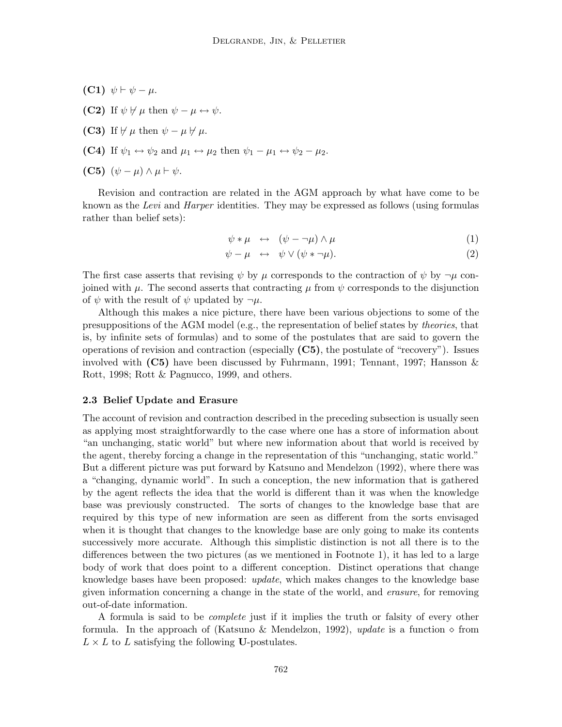- (C1)  $\psi \vdash \psi \mu$ .
- (C2) If  $\psi \not\models \mu$  then  $\psi \mu \leftrightarrow \psi$ .
- (C3) If  $\nvdash \mu$  then  $\psi \mu \nvdash \mu$ .
- (C4) If  $\psi_1 \leftrightarrow \psi_2$  and  $\mu_1 \leftrightarrow \mu_2$  then  $\psi_1 \mu_1 \leftrightarrow \psi_2 \mu_2$ .
- (C5)  $(\psi \mu) \wedge \mu \vdash \psi$ .

Revision and contraction are related in the AGM approach by what have come to be known as the Levi and Harper identities. They may be expressed as follows (using formulas rather than belief sets):

$$
\psi * \mu \leftrightarrow (\psi - \neg \mu) \wedge \mu \tag{1}
$$

$$
\psi - \mu \quad \leftrightarrow \quad \psi \lor (\psi * \neg \mu). \tag{2}
$$

The first case asserts that revising  $\psi$  by  $\mu$  corresponds to the contraction of  $\psi$  by  $\neg \mu$  conjoined with  $\mu$ . The second asserts that contracting  $\mu$  from  $\psi$  corresponds to the disjunction of  $\psi$  with the result of  $\psi$  updated by  $\neg \mu$ .

Although this makes a nice picture, there have been various objections to some of the presuppositions of the AGM model (e.g., the representation of belief states by theories, that is, by infinite sets of formulas) and to some of the postulates that are said to govern the operations of revision and contraction (especially  $(C5)$ , the postulate of "recovery"). Issues involved with  $(C5)$  have been discussed by Fuhrmann, 1991; Tennant, 1997; Hansson  $\&$ Rott, 1998; Rott & Pagnucco, 1999, and others.

#### 2.3 Belief Update and Erasure

The account of revision and contraction described in the preceding subsection is usually seen as applying most straightforwardly to the case where one has a store of information about "an unchanging, static world" but where new information about that world is received by the agent, thereby forcing a change in the representation of this "unchanging, static world." But a different picture was put forward by Katsuno and Mendelzon (1992), where there was a "changing, dynamic world". In such a conception, the new information that is gathered by the agent reflects the idea that the world is different than it was when the knowledge base was previously constructed. The sorts of changes to the knowledge base that are required by this type of new information are seen as different from the sorts envisaged when it is thought that changes to the knowledge base are only going to make its contents successively more accurate. Although this simplistic distinction is not all there is to the differences between the two pictures (as we mentioned in Footnote 1), it has led to a large body of work that does point to a different conception. Distinct operations that change knowledge bases have been proposed: *update*, which makes changes to the knowledge base given information concerning a change in the state of the world, and erasure, for removing out-of-date information.

A formula is said to be complete just if it implies the truth or falsity of every other formula. In the approach of (Katsuno & Mendelzon, 1992), update is a function  $\diamond$  from  $L \times L$  to L satisfying the following U-postulates.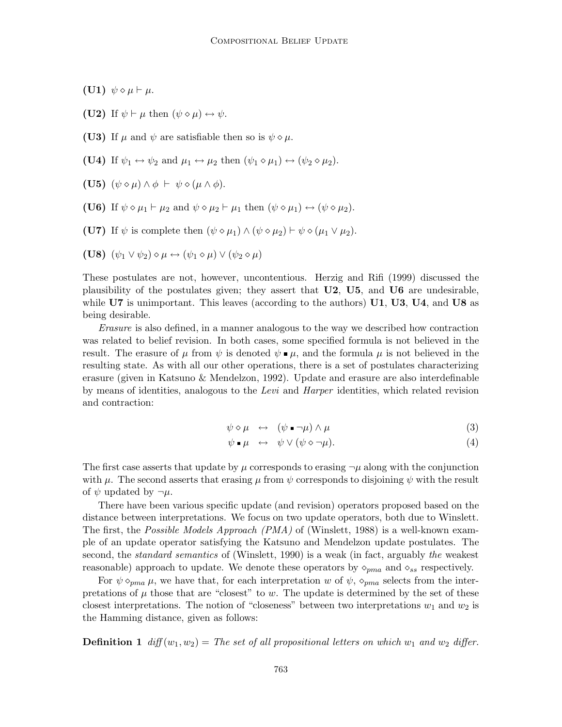(U1)  $\psi \diamond \mu \vdash \mu$ .

- (U2) If  $\psi \vdash \mu$  then  $(\psi \diamond \mu) \leftrightarrow \psi$ .
- (U3) If  $\mu$  and  $\psi$  are satisfiable then so is  $\psi \diamond \mu$ .
- (U4) If  $\psi_1 \leftrightarrow \psi_2$  and  $\mu_1 \leftrightarrow \mu_2$  then  $(\psi_1 \diamond \mu_1) \leftrightarrow (\psi_2 \diamond \mu_2)$ .
- (U5)  $(\psi \diamond \mu) \wedge \phi \vdash \psi \diamond (\mu \wedge \phi).$
- (U6) If  $\psi \diamond \mu_1 \vdash \mu_2$  and  $\psi \diamond \mu_2 \vdash \mu_1$  then  $(\psi \diamond \mu_1) \leftrightarrow (\psi \diamond \mu_2)$ .
- (U7) If  $\psi$  is complete then  $(\psi \diamond \mu_1) \wedge (\psi \diamond \mu_2) \vdash \psi \diamond (\mu_1 \vee \mu_2)$ .
- (U8)  $(\psi_1 \vee \psi_2) \diamond \mu \leftrightarrow (\psi_1 \diamond \mu) \vee (\psi_2 \diamond \mu)$

These postulates are not, however, uncontentious. Herzig and Rifi (1999) discussed the plausibility of the postulates given; they assert that  $U2$ ,  $U5$ , and  $U6$  are undesirable, while  $\bf{U7}$  is unimportant. This leaves (according to the authors)  $\bf{U1}$ ,  $\bf{U3}$ ,  $\bf{U4}$ , and  $\bf{U8}$  as being desirable.

Erasure is also defined, in a manner analogous to the way we described how contraction was related to belief revision. In both cases, some specified formula is not believed in the result. The erasure of  $\mu$  from  $\psi$  is denoted  $\psi \cdot \mu$ , and the formula  $\mu$  is not believed in the resulting state. As with all our other operations, there is a set of postulates characterizing erasure (given in Katsuno & Mendelzon, 1992). Update and erasure are also interdefinable by means of identities, analogous to the Levi and Harper identities, which related revision and contraction:

$$
\psi \diamond \mu \quad \leftrightarrow \quad (\psi \bullet \neg \mu) \wedge \mu \tag{3}
$$

$$
\psi \bullet \mu \quad \leftrightarrow \quad \psi \lor (\psi \diamond \neg \mu). \tag{4}
$$

The first case asserts that update by  $\mu$  corresponds to erasing  $\neg \mu$  along with the conjunction with  $\mu$ . The second asserts that erasing  $\mu$  from  $\psi$  corresponds to disjoining  $\psi$  with the result of  $\psi$  updated by  $\neg \mu$ .

There have been various specific update (and revision) operators proposed based on the distance between interpretations. We focus on two update operators, both due to Winslett. The first, the *Possible Models Approach (PMA)* of (Winslett, 1988) is a well-known example of an update operator satisfying the Katsuno and Mendelzon update postulates. The second, the *standard semantics* of (Winslett, 1990) is a weak (in fact, arguably the weakest reasonable) approach to update. We denote these operators by  $\diamond_{pma}$  and  $\diamond_{ss}$  respectively.

For  $\psi \diamond_{pma} \mu$ , we have that, for each interpretation w of  $\psi$ ,  $\diamond_{pma}$  selects from the interpretations of  $\mu$  those that are "closest" to w. The update is determined by the set of these closest interpretations. The notion of "closeness" between two interpretations  $w_1$  and  $w_2$  is the Hamming distance, given as follows:

**Definition 1** diff  $(w_1, w_2) =$  The set of all propositional letters on which  $w_1$  and  $w_2$  differ.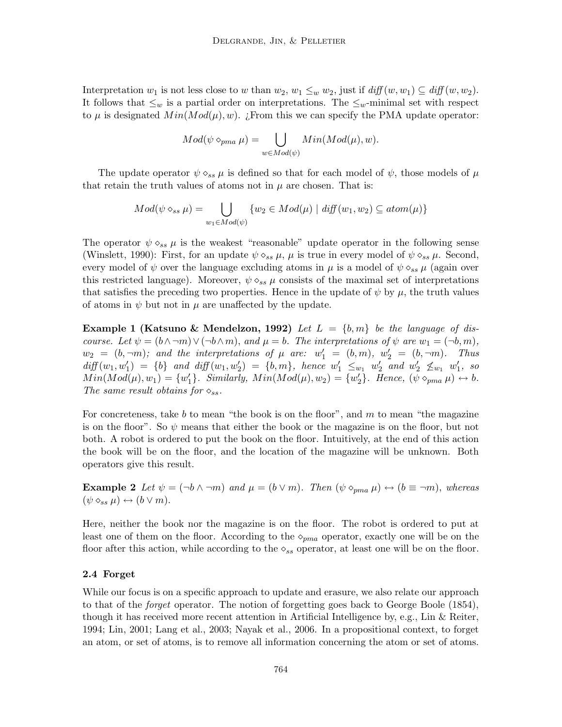Interpretation  $w_1$  is not less close to w than  $w_2, w_1 \leq_w w_2$ , just if  $\text{diff}(w, w_1) \subseteq \text{diff}(w, w_2)$ . It follows that  $\leq_w$  is a partial order on interpretations. The  $\leq_w$ -minimal set with respect to  $\mu$  is designated  $Min(Mod(\mu), w)$ . ¿From this we can specify the PMA update operator:

$$
Mod(\psi \diamond_{pma} \mu) = \bigcup_{w \in Mod(\psi)} Min(Mod(\mu), w).
$$

The update operator  $\psi \circ_{ss} \mu$  is defined so that for each model of  $\psi$ , those models of  $\mu$ that retain the truth values of atoms not in  $\mu$  are chosen. That is:

$$
Mod(\psi \diamond_{ss} \mu) = \bigcup_{w_1 \in Mod(\psi)} \{w_2 \in Mod(\mu) \mid diff(w_1, w_2) \subseteq atom(\mu)\}\
$$

The operator  $\psi \diamond_{ss} \mu$  is the weakest "reasonable" update operator in the following sense (Winslett, 1990): First, for an update  $\psi \diamond_{ss} \mu$ ,  $\mu$  is true in every model of  $\psi \diamond_{ss} \mu$ . Second, every model of  $\psi$  over the language excluding atoms in  $\mu$  is a model of  $\psi \circ_{ss} \mu$  (again over this restricted language). Moreover,  $\psi \diamond_{ss} \mu$  consists of the maximal set of interpretations that satisfies the preceding two properties. Hence in the update of  $\psi$  by  $\mu$ , the truth values of atoms in  $\psi$  but not in  $\mu$  are unaffected by the update.

**Example 1 (Katsuno & Mendelzon, 1992)** Let  $L = \{b, m\}$  be the language of discourse. Let  $\psi = (b \wedge \neg m) \vee (\neg b \wedge m)$ , and  $\mu = b$ . The interpretations of  $\psi$  are  $w_1 = (\neg b, m)$ ,  $w_2 = (b, \neg m)$ ; and the interpretations of  $\mu$  are:  $w'_1 = (b, m)$ ,  $w'_2 = (b, \neg m)$ . Thus  $diff(w_1, w'_1) = \{b\}$  and  $diff(w_1, w'_2) = \{b, m\}$ , hence  $w'_1 \leq_{w_1} w'_2$  and  $w'_2 \nleq_{w_1} w'_1$ , so  $Min(Mod(\mu), w_1) = \{w'_1\}.$  Similarly,  $Min(Mod(\mu), w_2) = \{w'_2\}.$  Hence,  $(\psi \diamond_{pma} \mu) \leftrightarrow b$ . The same result obtains for  $\diamond_{ss}$ .

For concreteness, take b to mean "the book is on the floor", and  $m$  to mean "the magazine" is on the floor". So  $\psi$  means that either the book or the magazine is on the floor, but not both. A robot is ordered to put the book on the floor. Intuitively, at the end of this action the book will be on the floor, and the location of the magazine will be unknown. Both operators give this result.

**Example 2** Let  $\psi = (\neg b \land \neg m)$  and  $\mu = (b \lor m)$ . Then  $(\psi \circ_{pma} \mu) \leftrightarrow (b \equiv \neg m)$ , whereas  $(\psi \diamond_{ss} \mu) \leftrightarrow (b \vee m).$ 

Here, neither the book nor the magazine is on the floor. The robot is ordered to put at least one of them on the floor. According to the  $\diamond_{pma}$  operator, exactly one will be on the floor after this action, while according to the  $\diamond_{ss}$  operator, at least one will be on the floor.

# 2.4 Forget

While our focus is on a specific approach to update and erasure, we also relate our approach to that of the forget operator. The notion of forgetting goes back to George Boole (1854), though it has received more recent attention in Artificial Intelligence by, e.g., Lin & Reiter, 1994; Lin, 2001; Lang et al., 2003; Nayak et al., 2006. In a propositional context, to forget an atom, or set of atoms, is to remove all information concerning the atom or set of atoms.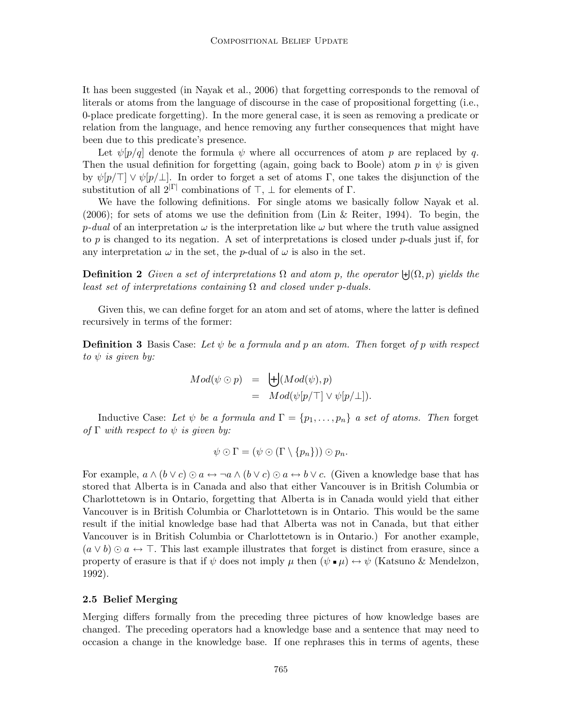It has been suggested (in Nayak et al., 2006) that forgetting corresponds to the removal of literals or atoms from the language of discourse in the case of propositional forgetting (i.e., 0-place predicate forgetting). In the more general case, it is seen as removing a predicate or relation from the language, and hence removing any further consequences that might have been due to this predicate's presence.

Let  $\psi[p/q]$  denote the formula  $\psi$  where all occurrences of atom p are replaced by q. Then the usual definition for forgetting (again, going back to Boole) atom  $p$  in  $\psi$  is given by  $\psi[p/\top] \vee \psi[p/\bot]$ . In order to forget a set of atoms Γ, one takes the disjunction of the substitution of all  $2^{|\Gamma|}$  combinations of  $\top$ ,  $\bot$  for elements of  $\Gamma$ .

We have the following definitions. For single atoms we basically follow Nayak et al. (2006); for sets of atoms we use the definition from (Lin & Reiter, 1994). To begin, the p-dual of an interpretation  $\omega$  is the interpretation like  $\omega$  but where the truth value assigned to p is changed to its negation. A set of interpretations is closed under p-duals just if, for any interpretation  $\omega$  in the set, the p-dual of  $\omega$  is also in the set.

**Definition 2** Given a set of interpretations  $\Omega$  and atom p, the operator  $\biguplus(\Omega, p)$  yields the least set of interpretations containing  $\Omega$  and closed under p-duals.

Given this, we can define forget for an atom and set of atoms, where the latter is defined recursively in terms of the former:

**Definition 3** Basis Case: Let  $\psi$  be a formula and p an atom. Then forget of p with respect to  $\psi$  is given by:

$$
Mod(\psi \odot p) = \biguplus (Mod(\psi), p)
$$
  
=  $Mod(\psi[p/\top] \vee \psi[p/\bot]).$ 

Inductive Case: Let  $\psi$  be a formula and  $\Gamma = \{p_1, \ldots, p_n\}$  a set of atoms. Then forget of  $\Gamma$  with respect to  $\psi$  is given by:

$$
\psi \odot \Gamma = (\psi \odot (\Gamma \setminus \{p_n\})) \odot p_n.
$$

For example,  $a \wedge (b \vee c) \odot a \leftrightarrow \neg a \wedge (b \vee c) \odot a \leftrightarrow b \vee c$ . (Given a knowledge base that has stored that Alberta is in Canada and also that either Vancouver is in British Columbia or Charlottetown is in Ontario, forgetting that Alberta is in Canada would yield that either Vancouver is in British Columbia or Charlottetown is in Ontario. This would be the same result if the initial knowledge base had that Alberta was not in Canada, but that either Vancouver is in British Columbia or Charlottetown is in Ontario.) For another example,  $(a \vee b) \odot a \leftrightarrow \top$ . This last example illustrates that forget is distinct from erasure, since a property of erasure is that if  $\psi$  does not imply  $\mu$  then  $(\psi \bullet \mu) \leftrightarrow \psi$  (Katsuno & Mendelzon, 1992).

#### 2.5 Belief Merging

Merging differs formally from the preceding three pictures of how knowledge bases are changed. The preceding operators had a knowledge base and a sentence that may need to occasion a change in the knowledge base. If one rephrases this in terms of agents, these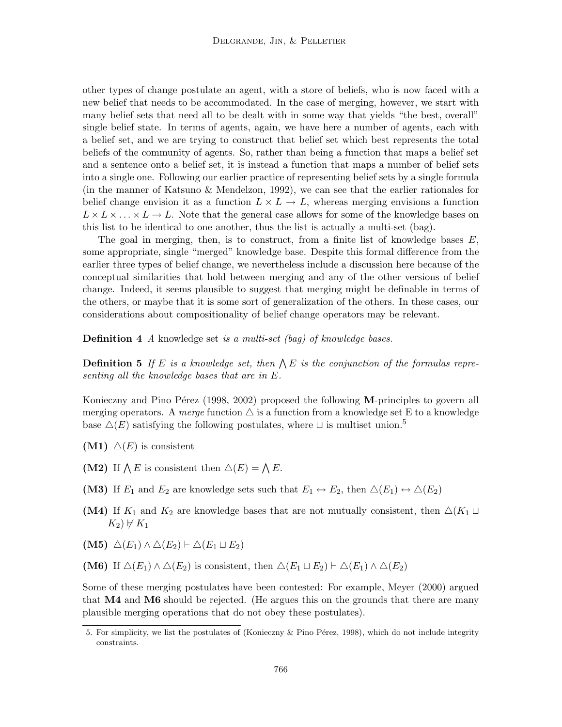other types of change postulate an agent, with a store of beliefs, who is now faced with a new belief that needs to be accommodated. In the case of merging, however, we start with many belief sets that need all to be dealt with in some way that yields "the best, overall" single belief state. In terms of agents, again, we have here a number of agents, each with a belief set, and we are trying to construct that belief set which best represents the total beliefs of the community of agents. So, rather than being a function that maps a belief set and a sentence onto a belief set, it is instead a function that maps a number of belief sets into a single one. Following our earlier practice of representing belief sets by a single formula (in the manner of Katsuno & Mendelzon, 1992), we can see that the earlier rationales for belief change envision it as a function  $L \times L \to L$ , whereas merging envisions a function  $L \times L \times ... \times L \rightarrow L$ . Note that the general case allows for some of the knowledge bases on this list to be identical to one another, thus the list is actually a multi-set (bag).

The goal in merging, then, is to construct, from a finite list of knowledge bases  $E$ , some appropriate, single "merged" knowledge base. Despite this formal difference from the earlier three types of belief change, we nevertheless include a discussion here because of the conceptual similarities that hold between merging and any of the other versions of belief change. Indeed, it seems plausible to suggest that merging might be definable in terms of the others, or maybe that it is some sort of generalization of the others. In these cases, our considerations about compositionality of belief change operators may be relevant.

Definition 4 A knowledge set is a multi-set (bag) of knowledge bases.

**Definition 5** If E is a knowledge set, then  $\bigwedge E$  is the conjunction of the formulas representing all the knowledge bases that are in E.

Konieczny and Pino Pérez (1998, 2002) proposed the following  $M$ -principles to govern all merging operators. A merge function  $\triangle$  is a function from a knowledge set E to a knowledge base  $\Delta(E)$  satisfying the following postulates, where  $\Box$  is multiset union.<sup>5</sup>

- $(M1) \triangle (E)$  is consistent
- (M2) If  $\bigwedge E$  is consistent then  $\bigtriangleup(E) = \bigwedge E$ .
- (M3) If  $E_1$  and  $E_2$  are knowledge sets such that  $E_1 \leftrightarrow E_2$ , then  $\Delta(E_1) \leftrightarrow \Delta(E_2)$
- (M4) If  $K_1$  and  $K_2$  are knowledge bases that are not mutually consistent, then  $\Delta(K_1 \sqcup$  $K_2$ )  $\nvdash K_1$
- (M5)  $\Delta(E_1) \wedge \Delta(E_2) \vdash \Delta(E_1 \sqcup E_2)$
- (M6) If  $\Delta(E_1) \wedge \Delta(E_2)$  is consistent, then  $\Delta(E_1 \sqcup E_2) \vdash \Delta(E_1) \wedge \Delta(E_2)$

Some of these merging postulates have been contested: For example, Meyer (2000) argued that  $\overline{M4}$  and  $\overline{M6}$  should be rejected. (He argues this on the grounds that there are many plausible merging operations that do not obey these postulates).

<sup>5.</sup> For simplicity, we list the postulates of (Konieczny & Pino Pérez, 1998), which do not include integrity constraints.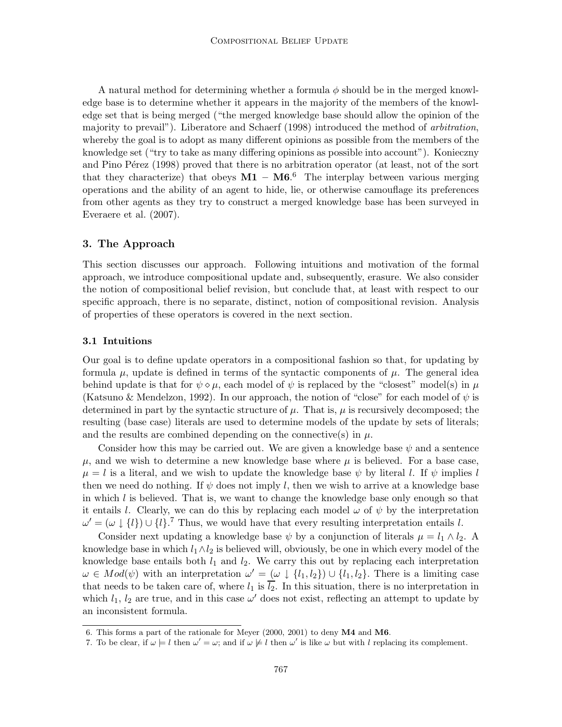A natural method for determining whether a formula  $\phi$  should be in the merged knowledge base is to determine whether it appears in the majority of the members of the knowledge set that is being merged ("the merged knowledge base should allow the opinion of the majority to prevail"). Liberatore and Schaerf (1998) introduced the method of arbitration, whereby the goal is to adopt as many different opinions as possible from the members of the knowledge set ("try to take as many differing opinions as possible into account"). Konieczny and Pino Pérez (1998) proved that there is no arbitration operator (at least, not of the sort that they characterize) that obeys  $M1 - M6$ <sup>6</sup> The interplay between various merging operations and the ability of an agent to hide, lie, or otherwise camouflage its preferences from other agents as they try to construct a merged knowledge base has been surveyed in Everaere et al. (2007).

# 3. The Approach

This section discusses our approach. Following intuitions and motivation of the formal approach, we introduce compositional update and, subsequently, erasure. We also consider the notion of compositional belief revision, but conclude that, at least with respect to our specific approach, there is no separate, distinct, notion of compositional revision. Analysis of properties of these operators is covered in the next section.

#### 3.1 Intuitions

Our goal is to define update operators in a compositional fashion so that, for updating by formula  $\mu$ , update is defined in terms of the syntactic components of  $\mu$ . The general idea behind update is that for  $\psi \circ \mu$ , each model of  $\psi$  is replaced by the "closest" model(s) in  $\mu$ (Katsuno & Mendelzon, 1992). In our approach, the notion of "close" for each model of  $\psi$  is determined in part by the syntactic structure of  $\mu$ . That is,  $\mu$  is recursively decomposed; the resulting (base case) literals are used to determine models of the update by sets of literals; and the results are combined depending on the connective(s) in  $\mu$ .

Consider how this may be carried out. We are given a knowledge base  $\psi$  and a sentence  $\mu$ , and we wish to determine a new knowledge base where  $\mu$  is believed. For a base case,  $\mu = l$  is a literal, and we wish to update the knowledge base  $\psi$  by literal l. If  $\psi$  implies l then we need do nothing. If  $\psi$  does not imply l, then we wish to arrive at a knowledge base in which  $l$  is believed. That is, we want to change the knowledge base only enough so that it entails l. Clearly, we can do this by replacing each model  $\omega$  of  $\psi$  by the interpretation  $\omega' = (\omega \downarrow \{l\}) \cup \{l\}.$ <sup>7</sup> Thus, we would have that every resulting interpretation entails l.

Consider next updating a knowledge base  $\psi$  by a conjunction of literals  $\mu = l_1 \wedge l_2$ . A knowledge base in which  $l_1 \wedge l_2$  is believed will, obviously, be one in which every model of the knowledge base entails both  $l_1$  and  $l_2$ . We carry this out by replacing each interpretation  $\omega \in Mod(\psi)$  with an interpretation  $\omega' = (\omega \downarrow \{l_1, l_2\}) \cup \{l_1, l_2\}$ . There is a limiting case that needs to be taken care of, where  $l_1$  is  $\overline{l_2}$ . In this situation, there is no interpretation in which  $l_1$ ,  $l_2$  are true, and in this case  $\omega'$  does not exist, reflecting an attempt to update by an inconsistent formula.

<sup>6.</sup> This forms a part of the rationale for Meyer (2000, 2001) to deny M4 and M6.

<sup>7.</sup> To be clear, if  $\omega \models l$  then  $\omega' = \omega$ ; and if  $\omega \not\models l$  then  $\omega'$  is like  $\omega$  but with l replacing its complement.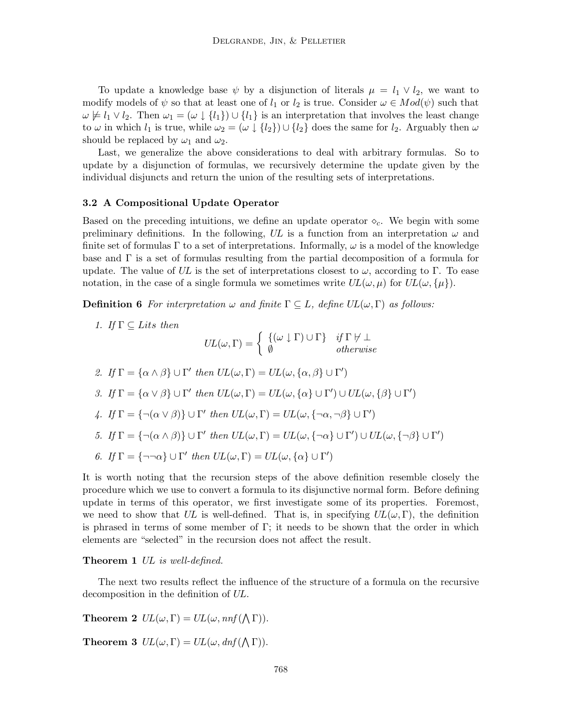To update a knowledge base  $\psi$  by a disjunction of literals  $\mu = l_1 \vee l_2$ , we want to modify models of  $\psi$  so that at least one of  $l_1$  or  $l_2$  is true. Consider  $\omega \in Mod(\psi)$  such that  $\omega \not\models l_1 \vee l_2$ . Then  $\omega_1 = (\omega \downarrow \{l_1\}) \cup \{l_1\}$  is an interpretation that involves the least change to  $\omega$  in which  $l_1$  is true, while  $\omega_2 = (\omega \downarrow \{l_2\}) \cup \{l_2\}$  does the same for  $l_2$ . Arguably then  $\omega$ should be replaced by  $\omega_1$  and  $\omega_2$ .

Last, we generalize the above considerations to deal with arbitrary formulas. So to update by a disjunction of formulas, we recursively determine the update given by the individual disjuncts and return the union of the resulting sets of interpretations.

#### 3.2 A Compositional Update Operator

Based on the preceding intuitions, we define an update operator  $\diamond_c$ . We begin with some preliminary definitions. In the following, UL is a function from an interpretation  $\omega$  and finite set of formulas  $\Gamma$  to a set of interpretations. Informally,  $\omega$  is a model of the knowledge base and Γ is a set of formulas resulting from the partial decomposition of a formula for update. The value of UL is the set of interpretations closest to  $\omega$ , according to Γ. To ease notation, in the case of a single formula we sometimes write  $UL(\omega, \mu)$  for  $UL(\omega, {\mu})$ .

**Definition 6** For interpretation  $\omega$  and finite  $\Gamma \subseteq L$ , define  $UL(\omega, \Gamma)$  as follows:

1. If  $\Gamma \subseteq Lits$  then

$$
UL(\omega, \Gamma) = \begin{cases} \{(\omega \downarrow \Gamma) \cup \Gamma\} & \text{if } \Gamma \nvdash \bot \\ \emptyset & \text{otherwise} \end{cases}
$$

\n- \n
$$
2. \, If \, \Gamma = \{ \alpha \wedge \beta \} \cup \Gamma' \, then \, UL(\omega, \Gamma) = UL(\omega, \{ \alpha, \beta \} \cup \Gamma')
$$
\n
\n- \n $3. \, If \, \Gamma = \{ \alpha \vee \beta \} \cup \Gamma' \, then \, UL(\omega, \Gamma) = UL(\omega, \{ \alpha \} \cup \Gamma') \cup UL(\omega, \{ \beta \} \cup \Gamma')$ \n
\n- \n $4. \, If \, \Gamma = \{ \neg(\alpha \vee \beta) \} \cup \Gamma' \, then \, UL(\omega, \Gamma) = UL(\omega, \{ \neg \alpha, \neg \beta \} \cup \Gamma')$ \n
\n- \n $5. \, If \, \Gamma = \{ \neg(\alpha \wedge \beta) \} \cup \Gamma' \, then \, UL(\omega, \Gamma) = UL(\omega, \{ \neg \alpha \} \cup \Gamma') \cup UL(\omega, \{ \neg \beta \} \cup \Gamma')$ \n
\n- \n $6. \, If \, \Gamma = \{ \neg \neg \alpha \} \cup \Gamma' \, then \, UL(\omega, \Gamma) = UL(\omega, \{ \alpha \} \cup \Gamma')$ \n
\n

It is worth noting that the recursion steps of the above definition resemble closely the procedure which we use to convert a formula to its disjunctive normal form. Before defining update in terms of this operator, we first investigate some of its properties. Foremost, we need to show that UL is well-defined. That is, in specifying  $UL(\omega, \Gamma)$ , the definition is phrased in terms of some member of  $\Gamma$ ; it needs to be shown that the order in which elements are "selected" in the recursion does not affect the result.

Theorem 1 UL is well-defined.

The next two results reflect the influence of the structure of a formula on the recursive decomposition in the definition of UL.

**Theorem 2**  $UL(\omega, \Gamma) = UL(\omega, nnf(\Lambda \Gamma)).$ 

**Theorem 3**  $UL(\omega, \Gamma) = UL(\omega, dnf(\Lambda \Gamma)).$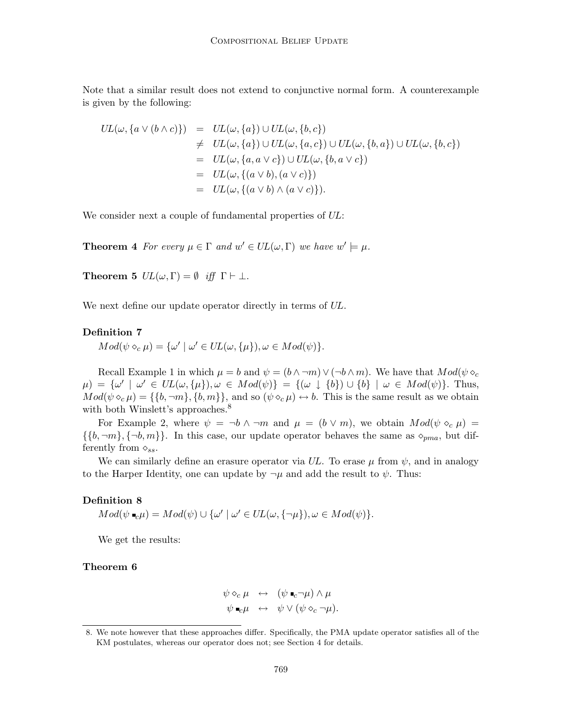Note that a similar result does not extend to conjunctive normal form. A counterexample is given by the following:

$$
UL(\omega, \{a \lor (b \land c)\}) = UL(\omega, \{a\}) \cup UL(\omega, \{b, c\})
$$
  
\n
$$
\neq UL(\omega, \{a\}) \cup UL(\omega, \{a, c\}) \cup UL(\omega, \{b, a\}) \cup UL(\omega, \{b, c\})
$$
  
\n
$$
= UL(\omega, \{a, a \lor c\}) \cup UL(\omega, \{b, a \lor c\})
$$
  
\n
$$
= UL(\omega, \{(a \lor b), (a \lor c)\})
$$
  
\n
$$
= UL(\omega, \{(a \lor b) \land (a \lor c)\}).
$$

We consider next a couple of fundamental properties of  $UL$ :

**Theorem 4** For every  $\mu \in \Gamma$  and  $w' \in UL(\omega, \Gamma)$  we have  $w' \models \mu$ .

**Theorem 5**  $UL(\omega, \Gamma) = \emptyset$  iff  $\Gamma \vdash \bot$ .

We next define our update operator directly in terms of  $UL$ .

# Definition 7

 $Mod(\psi \circ_c \mu) = {\omega' \mid \omega' \in UL(\omega, {\{\mu\}}), \omega \in Mod(\psi)}.$ 

Recall Example 1 in which  $\mu = b$  and  $\psi = (b \wedge \neg m) \vee (\neg b \wedge m)$ . We have that  $Mod(\psi \diamond_c)$  $\mu$ ) = { $\omega' \mid \omega' \in UL(\omega, {\mu}), \omega \in Mod(\psi)$ } = { $(\omega \downarrow {\{b\}}) \cup {\{b\}} \mid \omega \in Mod(\psi)$ }. Thus,  $Mod(\psi \circ_{c} \mu) = \{\{b, \neg m\}, \{b, m\}\}\$ , and so  $(\psi \circ_{c} \mu) \leftrightarrow b$ . This is the same result as we obtain with both Winslett's approaches.<sup>8</sup>

For Example 2, where  $\psi = \neg b \land \neg m$  and  $\mu = (b \lor m)$ , we obtain  $Mod(\psi \circ_c \mu) =$  $\{\{b, \neg m\}, \{\neg b, m\}\}.$  In this case, our update operator behaves the same as  $\diamond_{pma}$ , but differently from  $\diamond_{ss}$ .

We can similarly define an erasure operator via UL. To erase  $\mu$  from  $\psi$ , and in analogy to the Harper Identity, one can update by  $\neg \mu$  and add the result to  $\psi$ . Thus:

## Definition 8

 $Mod(\psi \bullet_{c} \mu) = Mod(\psi) \cup {\omega' \mid \omega' \in UL(\omega, {\neg \mu}), \omega \in Mod(\psi)}.$ 

We get the results:

# Theorem 6

$$
\psi \diamond_c \mu \leftrightarrow (\psi \bullet_c \neg \mu) \wedge \mu \n\psi \bullet_c \mu \leftrightarrow \psi \vee (\psi \diamond_c \neg \mu).
$$

<sup>8.</sup> We note however that these approaches differ. Specifically, the PMA update operator satisfies all of the KM postulates, whereas our operator does not; see Section 4 for details.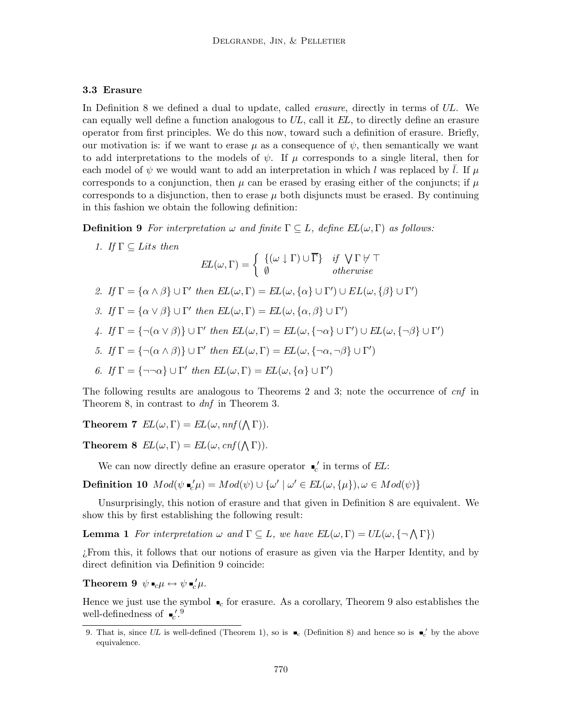# 3.3 Erasure

In Definition 8 we defined a dual to update, called *erasure*, directly in terms of UL. We can equally well define a function analogous to  $UL$ , call it  $EL$ , to directly define an erasure operator from first principles. We do this now, toward such a definition of erasure. Briefly, our motivation is: if we want to erase  $\mu$  as a consequence of  $\psi$ , then semantically we want to add interpretations to the models of  $\psi$ . If  $\mu$  corresponds to a single literal, then for each model of  $\psi$  we would want to add an interpretation in which l was replaced by l. If  $\mu$ corresponds to a conjunction, then  $\mu$  can be erased by erasing either of the conjuncts; if  $\mu$ corresponds to a disjunction, then to erase  $\mu$  both disjuncts must be erased. By continuing in this fashion we obtain the following definition:

**Definition 9** For interpretation  $\omega$  and finite  $\Gamma \subseteq L$ , define  $EL(\omega, \Gamma)$  as follows:

- 1. If  $\Gamma \subseteq Lits$  then  $EL(\omega, \Gamma) = \begin{cases} \ \{(\omega \downarrow \Gamma) \cup \overline{\Gamma}\} & \text{if } \bigvee \Gamma \not\vdash \top \ \end{cases}$ ∅ otherwise
- 2. If  $\Gamma = {\alpha \wedge \beta} \cup \Gamma'$  then  $EL(\omega, \Gamma) = EL(\omega, {\alpha} \cup \Gamma') \cup EL(\omega, {\beta} \cup \Gamma')$
- 3. If  $\Gamma = {\alpha \vee \beta} \cup \Gamma'$  then  $EL(\omega, \Gamma) = EL(\omega, {\alpha, \beta} \cup \Gamma')$
- 4. If  $\Gamma = \{\neg(\alpha \vee \beta)\}\cup \Gamma'$  then  $EL(\omega, \Gamma) = EL(\omega, \{\neg \alpha\} \cup \Gamma') \cup EL(\omega, \{\neg \beta\} \cup \Gamma')$
- 5. If  $\Gamma = {\neg(\alpha \wedge \beta)} \cup \Gamma'$  then  $EL(\omega, \Gamma) = EL(\omega, {\neg \alpha, \neg \beta} \cup \Gamma')$
- 6. If  $\Gamma = {\neg \neg \alpha} \cup \Gamma'$  then  $EL(\omega, \Gamma) = EL(\omega, {\alpha} \cup \Gamma')$

The following results are analogous to Theorems 2 and 3; note the occurrence of cnf in Theorem 8, in contrast to *dnf* in Theorem 3.

**Theorem 7**  $EL(\omega, \Gamma) = EL(\omega, nnf(\Lambda \Gamma)).$ 

**Theorem 8**  $EL(\omega, \Gamma) = EL(\omega, cnf(\Lambda \Gamma)).$ 

We can now directly define an erasure operator  $\mathcal{L}'$  in terms of EL:

**Definition 10**  $Mod(\psi \bullet_{c}' \mu) = Mod(\psi) \cup {\omega' \mid \omega' \in EL(\omega, {\{\mu\}}), \omega \in Mod(\psi)}$ 

Unsurprisingly, this notion of erasure and that given in Definition 8 are equivalent. We show this by first establishing the following result:

**Lemma 1** For interpretation  $\omega$  and  $\Gamma \subseteq L$ , we have  $EL(\omega, \Gamma) = UL(\omega, {\neg \Lambda \Gamma})$ 

¿From this, it follows that our notions of erasure as given via the Harper Identity, and by direct definition via Definition 9 coincide:

Theorem 9  $\psi \bullet_{c} \mu \leftrightarrow \psi \bullet_{c}^{\prime} \mu$ .

Hence we just use the symbol  $\bullet_c$  for erasure. As a corollary, Theorem 9 also establishes the well-definedness of  $\mathbb{R}^{7.9}_{c}$ 

<sup>9.</sup> That is, since UL is well-defined (Theorem 1), so is  $\bullet_c$  (Definition 8) and hence so is  $\bullet_c'$  by the above equivalence.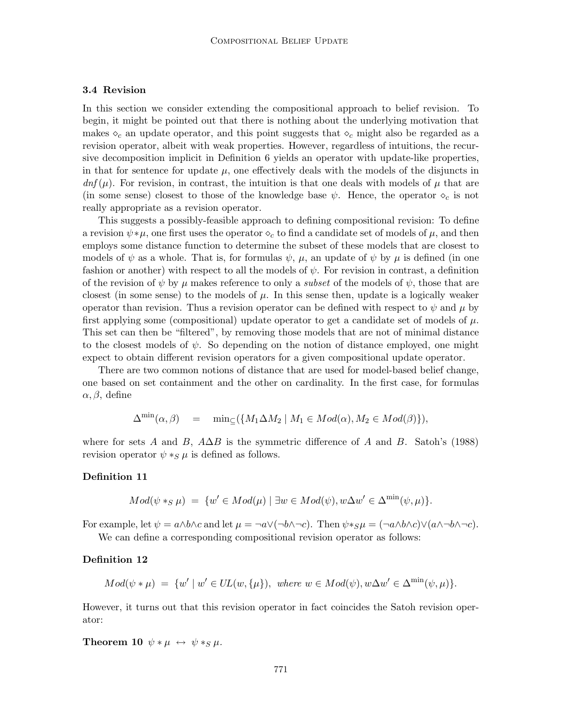# 3.4 Revision

In this section we consider extending the compositional approach to belief revision. To begin, it might be pointed out that there is nothing about the underlying motivation that makes  $\diamond_c$  an update operator, and this point suggests that  $\diamond_c$  might also be regarded as a revision operator, albeit with weak properties. However, regardless of intuitions, the recursive decomposition implicit in Definition 6 yields an operator with update-like properties, in that for sentence for update  $\mu$ , one effectively deals with the models of the disjuncts in  $dn f(\mu)$ . For revision, in contrast, the intuition is that one deals with models of  $\mu$  that are (in some sense) closest to those of the knowledge base  $\psi$ . Hence, the operator  $\diamond_c$  is not really appropriate as a revision operator.

This suggests a possibly-feasible approach to defining compositional revision: To define a revision  $\psi * \mu$ , one first uses the operator  $\diamond_c$  to find a candidate set of models of  $\mu$ , and then employs some distance function to determine the subset of these models that are closest to models of  $\psi$  as a whole. That is, for formulas  $\psi$ ,  $\mu$ , an update of  $\psi$  by  $\mu$  is defined (in one fashion or another) with respect to all the models of  $\psi$ . For revision in contrast, a definition of the revision of  $\psi$  by  $\mu$  makes reference to only a *subset* of the models of  $\psi$ , those that are closest (in some sense) to the models of  $\mu$ . In this sense then, update is a logically weaker operator than revision. Thus a revision operator can be defined with respect to  $\psi$  and  $\mu$  by first applying some (compositional) update operator to get a candidate set of models of  $\mu$ . This set can then be "filtered", by removing those models that are not of minimal distance to the closest models of  $\psi$ . So depending on the notion of distance employed, one might expect to obtain different revision operators for a given compositional update operator.

There are two common notions of distance that are used for model-based belief change, one based on set containment and the other on cardinality. In the first case, for formulas  $\alpha, \beta$ , define

$$
\Delta^{\min}(\alpha,\beta) = \min_{\subseteq} (\{M_1 \Delta M_2 \mid M_1 \in Mod(\alpha), M_2 \in Mod(\beta)\}),
$$

where for sets A and B,  $A\Delta B$  is the symmetric difference of A and B. Satoh's (1988) revision operator  $\psi *_{S} \mu$  is defined as follows.

#### Definition 11

$$
Mod(\psi *_{S} \mu) = \{ w' \in Mod(\mu) \mid \exists w \in Mod(\psi), w \Delta w' \in \Delta^{\min}(\psi, \mu) \}.
$$

For example, let  $\psi = a \wedge b \wedge c$  and let  $\mu = \neg a \vee (\neg b \wedge \neg c)$ . Then  $\psi *_{S}\mu = (\neg a \wedge b \wedge c) \vee (a \wedge \neg b \wedge \neg c)$ .

We can define a corresponding compositional revision operator as follows:

## Definition 12

$$
Mod(\psi * \mu) = \{ w' \mid w' \in UL(w, \{\mu\}), \text{ where } w \in Mod(\psi), w\Delta w' \in \Delta^{\min}(\psi, \mu) \}.
$$

However, it turns out that this revision operator in fact coincides the Satoh revision operator:

**Theorem 10**  $\psi * \mu \leftrightarrow \psi *_{S} \mu$ .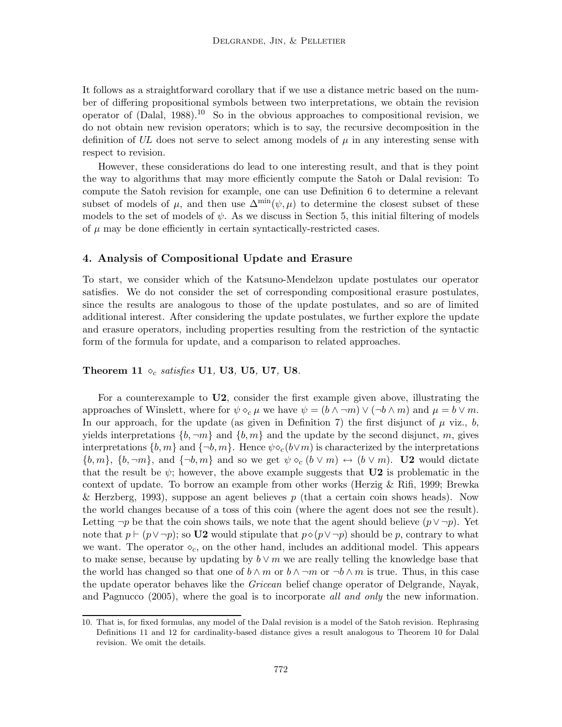It follows as a straightforward corollary that if we use a distance metric based on the number of differing propositional symbols between two interpretations, we obtain the revision operator of  $(Dalal, 1988).$ <sup>10</sup> So in the obvious approaches to compositional revision, we do not obtain new revision operators; which is to say, the recursive decomposition in the definition of UL does not serve to select among models of  $\mu$  in any interesting sense with respect to revision.

However, these considerations do lead to one interesting result, and that is they point the way to algorithms that may more efficiently compute the Satoh or Dalal revision: To compute the Satoh revision for example, one can use Definition 6 to determine a relevant subset of models of  $\mu$ , and then use  $\Delta^{\min}(\psi,\mu)$  to determine the closest subset of these models to the set of models of  $\psi$ . As we discuss in Section 5, this initial filtering of models of  $\mu$  may be done efficiently in certain syntactically-restricted cases.

# 4. Analysis of Compositional Update and Erasure

To start, we consider which of the Katsuno-Mendelzon update postulates our operator satisfies. We do not consider the set of corresponding compositional erasure postulates, since the results are analogous to those of the update postulates, and so are of limited additional interest. After considering the update postulates, we further explore the update and erasure operators, including properties resulting from the restriction of the syntactic form of the formula for update, and a comparison to related approaches.

#### Theorem 11  $\diamond_c$  satisfies U1, U3, U5, U7, U8.

For a counterexample to U2, consider the first example given above, illustrating the approaches of Winslett, where for  $\psi \diamond_c \mu$  we have  $\psi = (b \wedge \neg m) \vee (\neg b \wedge m)$  and  $\mu = b \vee m$ . In our approach, for the update (as given in Definition 7) the first disjunct of  $\mu$  viz., b, yields interpretations  $\{b, \neg m\}$  and  $\{b, m\}$  and the update by the second disjunct, m, gives interpretations  $\{b,m\}$  and  $\{\neg b,m\}$ . Hence  $\psi \diamond_c (b \vee m)$  is characterized by the interpretations  $\{b,m\},\ \{b,\neg m\},\ \text{and}\ \{\neg b,m\}\ \text{and so we get}\ \psi \diamond_c (b\vee m) \leftrightarrow (b\vee m)$ . **U2** would dictate that the result be  $\psi$ ; however, the above example suggests that **U2** is problematic in the context of update. To borrow an example from other works (Herzig & Rifi, 1999; Brewka & Herzberg, 1993), suppose an agent believes  $p$  (that a certain coin shows heads). Now the world changes because of a toss of this coin (where the agent does not see the result). Letting  $\neg p$  be that the coin shows tails, we note that the agent should believe  $(p \lor \neg p)$ . Yet note that  $p \vdash (p \lor \neg p)$ ; so U2 would stipulate that  $p \diamond (p \lor \neg p)$  should be p, contrary to what we want. The operator  $\diamond_c$ , on the other hand, includes an additional model. This appears to make sense, because by updating by  $b \vee m$  we are really telling the knowledge base that the world has changed so that one of  $b \wedge m$  or  $b \wedge \neg m$  or  $\neg b \wedge m$  is true. Thus, in this case the update operator behaves like the *Gricean* belief change operator of Delgrande, Nayak, and Pagnucco (2005), where the goal is to incorporate all and only the new information.

<sup>10.</sup> That is, for fixed formulas, any model of the Dalal revision is a model of the Satoh revision. Rephrasing Definitions 11 and 12 for cardinality-based distance gives a result analogous to Theorem 10 for Dalal revision. We omit the details.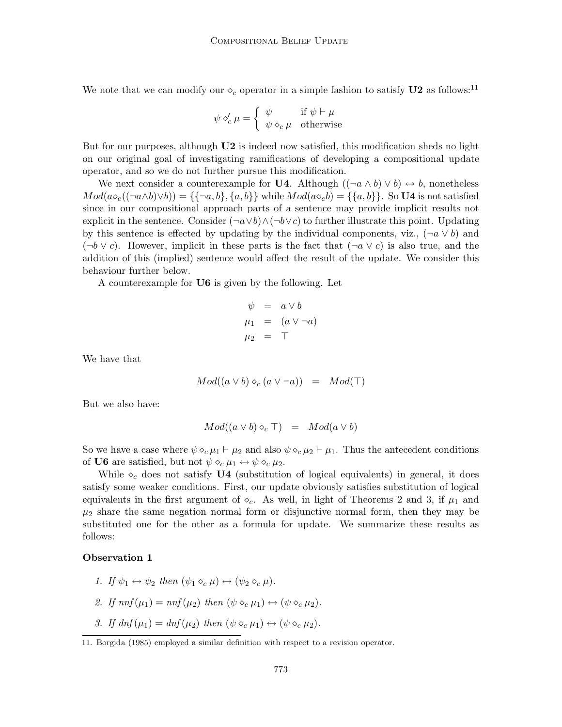We note that we can modify our  $\diamond_c$  operator in a simple fashion to satisfy U2 as follows:<sup>11</sup>

$$
\psi \circ'_{c} \mu = \begin{cases} \psi & \text{if } \psi \vdash \mu \\ \psi \circ_{c} \mu & \text{otherwise} \end{cases}
$$

But for our purposes, although **U2** is indeed now satisfied, this modification sheds no light on our original goal of investigating ramifications of developing a compositional update operator, and so we do not further pursue this modification.

We next consider a counterexample for U4. Although  $((\neg a \land b) \lor b) \leftrightarrow b$ , nonetheless  $Mod(a \circ_c ((\neg a \wedge b) \vee b)) = \{\{\neg a, b\}, \{a, b\}\}\$  while  $Mod(a \circ_c b) = \{\{a, b\}\}\$ . So U4 is not satisfied since in our compositional approach parts of a sentence may provide implicit results not explicit in the sentence. Consider  $(\neg a \lor b) \land (\neg b \lor c)$  to further illustrate this point. Updating by this sentence is effected by updating by the individual components, viz.,  $(\neg a \lor b)$  and  $(\neg b \lor c)$ . However, implicit in these parts is the fact that  $(\neg a \lor c)$  is also true, and the addition of this (implied) sentence would affect the result of the update. We consider this behaviour further below.

A counterexample for U6 is given by the following. Let

$$
\psi = a \vee b
$$
  
\n
$$
\mu_1 = (a \vee \neg a)
$$
  
\n
$$
\mu_2 = \top
$$

We have that

$$
Mod((a \lor b) \diamond_c (a \lor \neg a)) = Mod(\top)
$$

But we also have:

$$
Mod((a \vee b) \diamond_c \top) = Mod(a \vee b)
$$

So we have a case where  $\psi \diamond_c \mu_1 \vdash \mu_2$  and also  $\psi \diamond_c \mu_2 \vdash \mu_1$ . Thus the antecedent conditions of U6 are satisfied, but not  $\psi \diamond_c \mu_1 \leftrightarrow \psi \diamond_c \mu_2$ .

While  $\diamond_c$  does not satisfy U4 (substitution of logical equivalents) in general, it does satisfy some weaker conditions. First, our update obviously satisfies substitution of logical equivalents in the first argument of  $\circ_c$ . As well, in light of Theorems 2 and 3, if  $\mu_1$  and  $\mu_2$  share the same negation normal form or disjunctive normal form, then they may be substituted one for the other as a formula for update. We summarize these results as follows:

## Observation 1

- 1. If  $\psi_1 \leftrightarrow \psi_2$  then  $(\psi_1 \diamond_c \mu) \leftrightarrow (\psi_2 \diamond_c \mu)$ .
- 2. If  $nnf(\mu_1) = nnf(\mu_2)$  then  $(\psi \diamond_c \mu_1) \leftrightarrow (\psi \diamond_c \mu_2)$ .
- 3. If  $dnf(\mu_1) = dnf(\mu_2)$  then  $(\psi \diamond_c \mu_1) \leftrightarrow (\psi \diamond_c \mu_2)$ .

<sup>11.</sup> Borgida (1985) employed a similar definition with respect to a revision operator.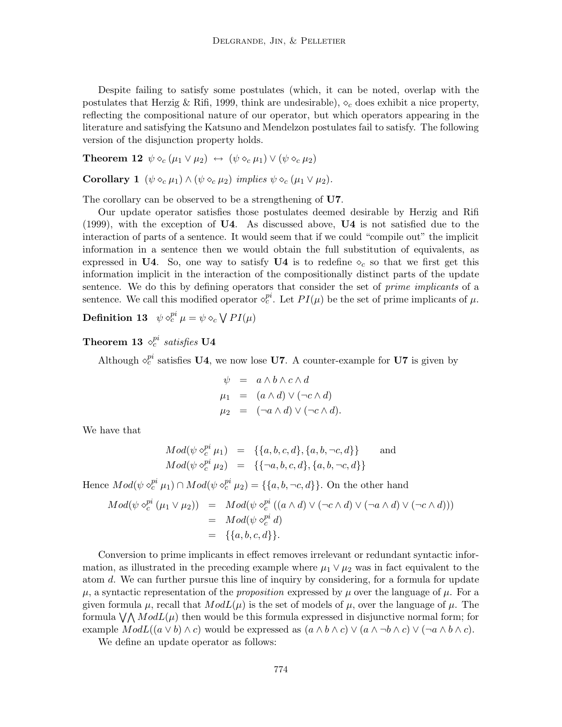Despite failing to satisfy some postulates (which, it can be noted, overlap with the postulates that Herzig & Rifi, 1999, think are undesirable),  $\diamond_c$  does exhibit a nice property, reflecting the compositional nature of our operator, but which operators appearing in the literature and satisfying the Katsuno and Mendelzon postulates fail to satisfy. The following version of the disjunction property holds.

**Theorem 12**  $\psi \diamond_c (\mu_1 \vee \mu_2) \leftrightarrow (\psi \diamond_c \mu_1) \vee (\psi \diamond_c \mu_2)$ 

Corollary 1  $(\psi \diamond_c \mu_1) \wedge (\psi \diamond_c \mu_2)$  implies  $\psi \diamond_c (\mu_1 \vee \mu_2)$ .

The corollary can be observed to be a strengthening of U7.

Our update operator satisfies those postulates deemed desirable by Herzig and Rifi (1999), with the exception of U4. As discussed above, U4 is not satisfied due to the interaction of parts of a sentence. It would seem that if we could "compile out" the implicit information in a sentence then we would obtain the full substitution of equivalents, as expressed in U4. So, one way to satisfy U4 is to redefine  $\diamond_c$  so that we first get this information implicit in the interaction of the compositionally distinct parts of the update sentence. We do this by defining operators that consider the set of *prime implicants* of a sentence. We call this modified operator  $\diamond_c^{pi}$ . Let  $PI(\mu)$  be the set of prime implicants of  $\mu$ .

 ${\bf Definition \ 13} \ \ \ \psi \, \diamond^{pi}_c \mu = \psi \diamond_c \bigvee PI(\mu)$ 

Theorem 13  $\diamond^{pi}_c$  satisfies U4

Although  $\diamond_c^{pi}$  satisfies **U4**, we now lose **U7**. A counter-example for **U7** is given by

$$
\psi = a \wedge b \wedge c \wedge d
$$
  
\n
$$
\mu_1 = (a \wedge d) \vee (\neg c \wedge d)
$$
  
\n
$$
\mu_2 = (\neg a \wedge d) \vee (\neg c \wedge d).
$$

We have that

$$
Mod(\psi \diamond_c^{pi} \mu_1) = \{ \{a, b, c, d\}, \{a, b, \neg c, d\} \} \text{ and}
$$
  

$$
Mod(\psi \diamond_c^{pi} \mu_2) = \{ \{\neg a, b, c, d\}, \{a, b, \neg c, d\} \}
$$

Hence  $Mod(\psi \circ_c^{pi} \mu_1) \cap Mod(\psi \circ_c^{pi} \mu_2) = \{\{a, b, \neg c, d\}\}.$  On the other hand

$$
Mod(\psi \circ_c^{pi} (\mu_1 \vee \mu_2)) = Mod(\psi \circ_c^{pi} ((a \wedge d) \vee (\neg c \wedge d) \vee (\neg a \wedge d) \vee (\neg c \wedge d)))
$$
  
=  $Mod(\psi \circ_c^{pi} d)$   
= {{a, b, c, d}}.

Conversion to prime implicants in effect removes irrelevant or redundant syntactic information, as illustrated in the preceding example where  $\mu_1 \vee \mu_2$  was in fact equivalent to the atom d. We can further pursue this line of inquiry by considering, for a formula for update  $\mu$ , a syntactic representation of the *proposition* expressed by  $\mu$  over the language of  $\mu$ . For a given formula  $\mu$ , recall that  $ModL(\mu)$  is the set of models of  $\mu$ , over the language of  $\mu$ . The formula  $\bigvee \bigwedge \text{Mod}L(\mu)$  then would be this formula expressed in disjunctive normal form; for example  $ModL((a \vee b) \wedge c)$  would be expressed as  $(a \wedge b \wedge c) \vee (a \wedge \neg b \wedge c) \vee (\neg a \wedge b \wedge c)$ .

We define an update operator as follows: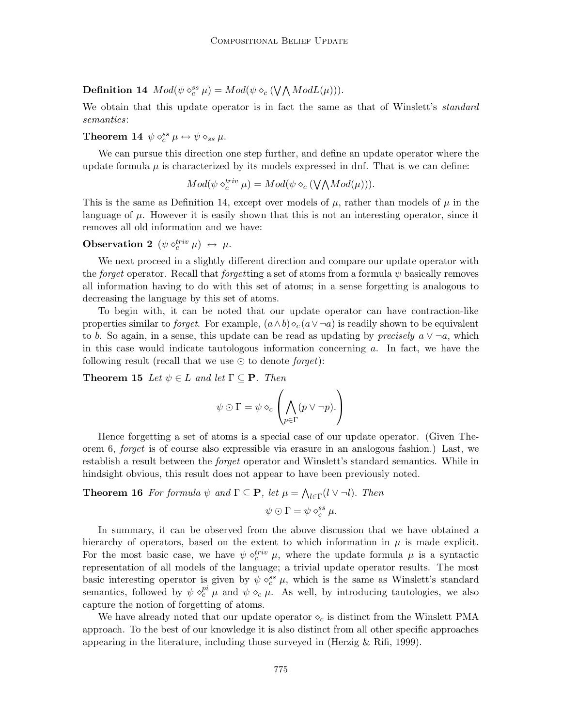**Definition 14**  $Mod(\psi \diamond_c^{ss} \mu) = Mod(\psi \diamond_c (\bigvee \bigwedge ModL(\mu))).$ 

We obtain that this update operator is in fact the same as that of Winslett's *standard* semantics:

Theorem 14  $\psi \diamond_c^{ss} \mu \leftrightarrow \psi \diamond_{ss} \mu$ .

We can pursue this direction one step further, and define an update operator where the update formula  $\mu$  is characterized by its models expressed in dnf. That is we can define:

$$
Mod(\psi \diamond_c^{triv} \mu) = Mod(\psi \diamond_c (\bigvee \bigwedge Mod(\mu))).
$$

This is the same as Definition 14, except over models of  $\mu$ , rather than models of  $\mu$  in the language of  $\mu$ . However it is easily shown that this is not an interesting operator, since it removes all old information and we have:

# $\textbf{Observation 2}\;\left(\psi\; \diamond^{triv}_{c}\mu\right)\;\leftrightarrow\;\mu.$

We next proceed in a slightly different direction and compare our update operator with the forget operator. Recall that forgetting a set of atoms from a formula  $\psi$  basically removes all information having to do with this set of atoms; in a sense forgetting is analogous to decreasing the language by this set of atoms.

To begin with, it can be noted that our update operator can have contraction-like properties similar to *forget*. For example,  $(a \wedge b) \diamond_c (a \vee \neg a)$  is readily shown to be equivalent to b. So again, in a sense, this update can be read as updating by precisely  $a \vee \neg a$ , which in this case would indicate tautologous information concerning  $a$ . In fact, we have the following result (recall that we use  $\odot$  to denote *forget*):

**Theorem 15** Let  $\psi \in L$  and let  $\Gamma \subseteq \mathbf{P}$ . Then

$$
\psi \odot \Gamma = \psi \diamond_c \left( \bigwedge_{p \in \Gamma} (p \vee \neg p).
$$

Hence forgetting a set of atoms is a special case of our update operator. (Given Theorem 6, forget is of course also expressible via erasure in an analogous fashion.) Last, we establish a result between the forget operator and Winslett's standard semantics. While in hindsight obvious, this result does not appear to have been previously noted.

**Theorem 16** For formula  $\psi$  and  $\Gamma \subseteq \mathbf{P}$ , let  $\mu = \bigwedge_{l \in \Gamma} (l \vee \neg l)$ . Then

$$
\psi \odot \Gamma = \psi \diamond_c^{ss} \mu.
$$

In summary, it can be observed from the above discussion that we have obtained a hierarchy of operators, based on the extent to which information in  $\mu$  is made explicit. For the most basic case, we have  $\psi \diamond_c^{triv} \mu$ , where the update formula  $\mu$  is a syntactic representation of all models of the language; a trivial update operator results. The most basic interesting operator is given by  $\psi \diamond_c^{ss} \mu$ , which is the same as Winslett's standard semantics, followed by  $\psi \circ_c^{pi} \mu$  and  $\psi \circ_c \mu$ . As well, by introducing tautologies, we also capture the notion of forgetting of atoms.

We have already noted that our update operator  $\diamond_c$  is distinct from the Winslett PMA approach. To the best of our knowledge it is also distinct from all other specific approaches appearing in the literature, including those surveyed in (Herzig  $\&$  Rifi, 1999).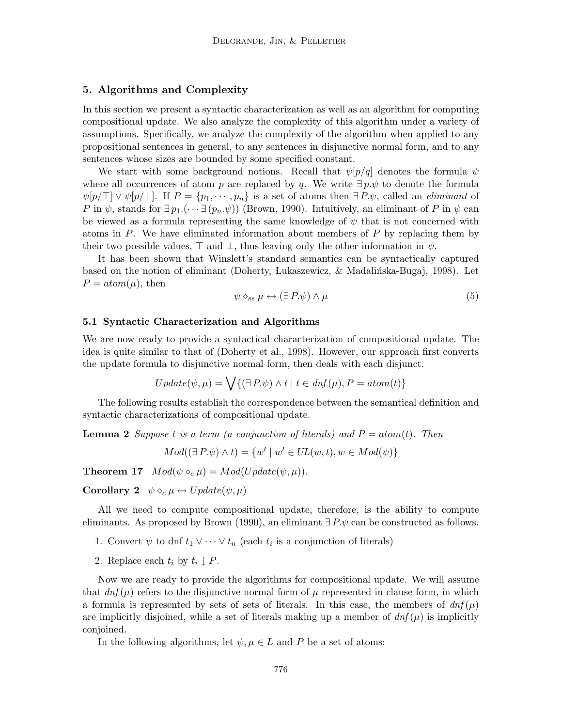# 5. Algorithms and Complexity

In this section we present a syntactic characterization as well as an algorithm for computing compositional update. We also analyze the complexity of this algorithm under a variety of assumptions. Specifically, we analyze the complexity of the algorithm when applied to any propositional sentences in general, to any sentences in disjunctive normal form, and to any sentences whose sizes are bounded by some specified constant.

We start with some background notions. Recall that  $\psi[p/q]$  denotes the formula  $\psi$ where all occurrences of atom p are replaced by q. We write  $\exists p.\psi$  to denote the formula  $\psi[p/\top] \vee \psi[p/\bot]$ . If  $P = \{p_1, \dots, p_n\}$  is a set of atoms then  $\exists P.\psi$ , called an *eliminant* of P in  $\psi$ , stands for  $\exists p_1.(\cdots \exists (p_n.\psi))$  (Brown, 1990). Intuitively, an eliminant of P in  $\psi$  can be viewed as a formula representing the same knowledge of  $\psi$  that is not concerned with atoms in  $P$ . We have eliminated information about members of  $P$  by replacing them by their two possible values,  $\top$  and  $\bot$ , thus leaving only the other information in  $\psi$ .

It has been shown that Winslett's standard semantics can be syntactically captured based on the notion of eliminant (Doherty, Lukaszewicz,  $\&$  Madalintska-Bugaj, 1998). Let  $P = atom(\mu)$ , then

$$
\psi \diamond_{ss} \mu \leftrightarrow (\exists P.\psi) \land \mu \tag{5}
$$

#### 5.1 Syntactic Characterization and Algorithms

We are now ready to provide a syntactical characterization of compositional update. The idea is quite similar to that of (Doherty et al., 1998). However, our approach first converts the update formula to disjunctive normal form, then deals with each disjunct.

$$
Update(\psi, \mu) = \bigvee \{ (\exists P. \psi) \land t \mid t \in \text{dnf}(\mu), P = \text{atom}(t) \}
$$

The following results establish the correspondence between the semantical definition and syntactic characterizations of compositional update.

**Lemma 2** Suppose t is a term (a conjunction of literals) and  $P = atom(t)$ . Then

 $Mod((\exists P.\psi) \wedge t) = \{w' \mid w' \in UL(w,t), w \in Mod(\psi)\}\$ 

**Theorem 17**  $Mod(\psi \circ_c \mu) = Mod(Update(\psi, \mu)).$ 

Corollary 2  $\psi \diamond_c \mu \leftrightarrow Update(\psi, \mu)$ 

All we need to compute compositional update, therefore, is the ability to compute eliminants. As proposed by Brown (1990), an eliminant  $\exists P.\psi$  can be constructed as follows.

1. Convert  $\psi$  to dnf  $t_1 \vee \cdots \vee t_n$  (each  $t_i$  is a conjunction of literals)

2. Replace each  $t_i$  by  $t_i \downarrow P$ .

Now we are ready to provide the algorithms for compositional update. We will assume that  $dnf(\mu)$  refers to the disjunctive normal form of  $\mu$  represented in clause form, in which a formula is represented by sets of sets of literals. In this case, the members of  $dn f(\mu)$ are implicitly disjoined, while a set of literals making up a member of  $dn f(\mu)$  is implicitly conjoined.

In the following algorithms, let  $\psi, \mu \in L$  and P be a set of atoms: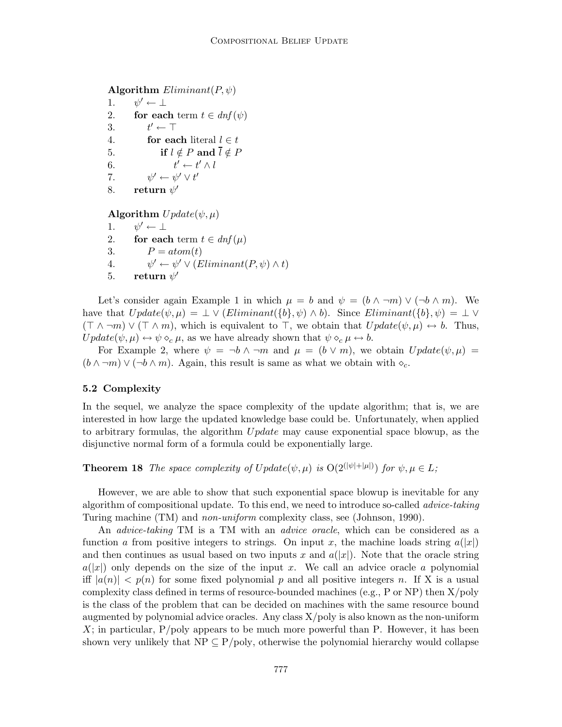```
Algorithm Eliminant(P, \psi)
```
1.  $\psi' \leftarrow \perp$ 2. for each term  $t \in dnf(\psi)$ 3. t  $t' \leftarrow \top$ 4. for each literal  $l \in t$ 5. if  $l \notin P$  and  $\overline{l} \notin P$ 6. t  $' \leftarrow t' \wedge l$ 7. ψ  $\prime \leftarrow \psi' \vee t'$ 8. return  $\psi'$ 

```
Algorithm Update(\psi, \mu)
```
1.  $\psi' \leftarrow \perp$ 2. for each term  $t \in dn f(\mu)$ 3.  $P = atom(t)$  $4.$  $\gamma' \leftarrow \psi' \vee (Eliminant(P, \psi) \wedge t)$ 5. return  $\psi'$ 

Let's consider again Example 1 in which  $\mu = b$  and  $\psi = (b \wedge \neg m) \vee (\neg b \wedge m)$ . We have that  $Update(\psi, \mu) = \bot \vee (Eliminant({b}, \psi) \wedge b)$ . Since  $Eliminant({b}, \psi) = \bot \vee$  $(\top \wedge \neg m) \vee (\top \wedge m)$ , which is equivalent to  $\top$ , we obtain that  $Update(\psi, \mu) \leftrightarrow b$ . Thus,  $Update(\psi, \mu) \leftrightarrow \psi \diamond_c \mu$ , as we have already shown that  $\psi \diamond_c \mu \leftrightarrow b$ .

For Example 2, where  $\psi = \neg b \wedge \neg m$  and  $\mu = (b \vee m)$ , we obtain  $Update(\psi, \mu)$  $(b \wedge \neg m) \vee (\neg b \wedge m)$ . Again, this result is same as what we obtain with  $\diamond_c$ .

# 5.2 Complexity

In the sequel, we analyze the space complexity of the update algorithm; that is, we are interested in how large the updated knowledge base could be. Unfortunately, when applied to arbitrary formulas, the algorithm Update may cause exponential space blowup, as the disjunctive normal form of a formula could be exponentially large.

**Theorem 18** The space complexity of  $Update(\psi, \mu)$  is  $O(2^{(|\psi|+|\mu|)})$  for  $\psi, \mu \in L$ ;

However, we are able to show that such exponential space blowup is inevitable for any algorithm of compositional update. To this end, we need to introduce so-called *advice-taking* Turing machine (TM) and non-uniform complexity class, see (Johnson, 1990).

An *advice-taking* TM is a TM with an *advice oracle*, which can be considered as a function a from positive integers to strings. On input x, the machine loads string  $a(|x|)$ and then continues as usual based on two inputs x and  $a(|x|)$ . Note that the oracle string  $a(|x|)$  only depends on the size of the input x. We call an advice oracle a polynomial iff  $|a(n)| < p(n)$  for some fixed polynomial p and all positive integers n. If X is a usual complexity class defined in terms of resource-bounded machines (e.g., P or NP) then  $X/poly$ is the class of the problem that can be decided on machines with the same resource bound augmented by polynomial advice oracles. Any class  $X/poly$  is also known as the non-uniform  $X$ ; in particular,  $P/poly$  appears to be much more powerful than P. However, it has been shown very unlikely that  $NP \subseteq P/poly$ , otherwise the polynomial hierarchy would collapse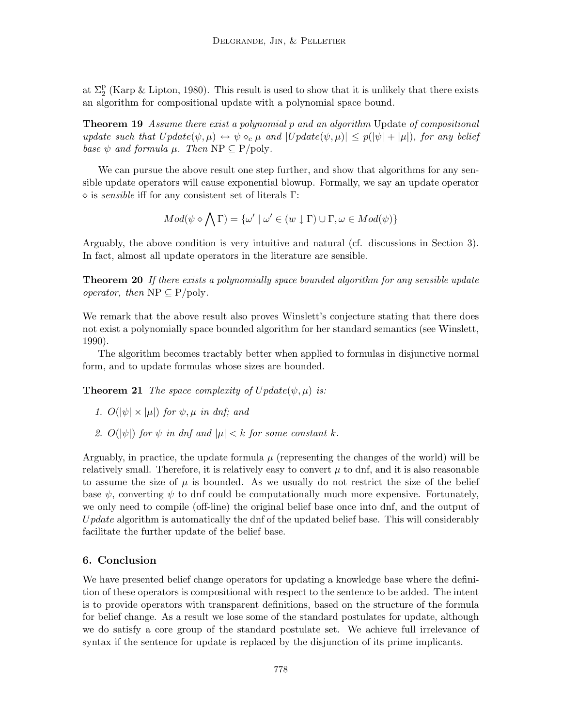at  $\Sigma_2^{\rm p}$  (Karp & Lipton, 1980). This result is used to show that it is unlikely that there exists an algorithm for compositional update with a polynomial space bound.

**Theorem 19** Assume there exist a polynomial p and an algorithm Update of compositional update such that  $Update(\psi, \mu) \leftrightarrow \psi \circ_{\mathcal{C}} \mu$  and  $|Update(\psi, \mu)| \leq p(|\psi| + |\mu|)$ , for any belief base  $\psi$  and formula  $\mu$ . Then NP  $\subseteq$  P/poly.

We can pursue the above result one step further, and show that algorithms for any sensible update operators will cause exponential blowup. Formally, we say an update operator  $\Diamond$  is *sensible* iff for any consistent set of literals Γ:

$$
Mod(\psi \diamond \bigwedge \Gamma) = \{ \omega' \mid \omega' \in (w \downarrow \Gamma) \cup \Gamma, \omega \in Mod(\psi) \}
$$

Arguably, the above condition is very intuitive and natural (cf. discussions in Section 3). In fact, almost all update operators in the literature are sensible.

**Theorem 20** If there exists a polynomially space bounded algorithm for any sensible update operator, then  $NP \subseteq P/poly$ .

We remark that the above result also proves Winslett's conjecture stating that there does not exist a polynomially space bounded algorithm for her standard semantics (see Winslett, 1990).

The algorithm becomes tractably better when applied to formulas in disjunctive normal form, and to update formulas whose sizes are bounded.

**Theorem 21** The space complexity of  $Update(\psi, \mu)$  is:

- 1.  $O(|\psi| \times |\mu|)$  for  $\psi, \mu$  in dnf; and
- 2.  $O(|\psi|)$  for  $\psi$  in dnf and  $|\mu| < k$  for some constant k.

Arguably, in practice, the update formula  $\mu$  (representing the changes of the world) will be relatively small. Therefore, it is relatively easy to convert  $\mu$  to dnf, and it is also reasonable to assume the size of  $\mu$  is bounded. As we usually do not restrict the size of the belief base  $\psi$ , converting  $\psi$  to dnf could be computationally much more expensive. Fortunately, we only need to compile (off-line) the original belief base once into dnf, and the output of Update algorithm is automatically the dnf of the updated belief base. This will considerably facilitate the further update of the belief base.

#### 6. Conclusion

We have presented belief change operators for updating a knowledge base where the definition of these operators is compositional with respect to the sentence to be added. The intent is to provide operators with transparent definitions, based on the structure of the formula for belief change. As a result we lose some of the standard postulates for update, although we do satisfy a core group of the standard postulate set. We achieve full irrelevance of syntax if the sentence for update is replaced by the disjunction of its prime implicants.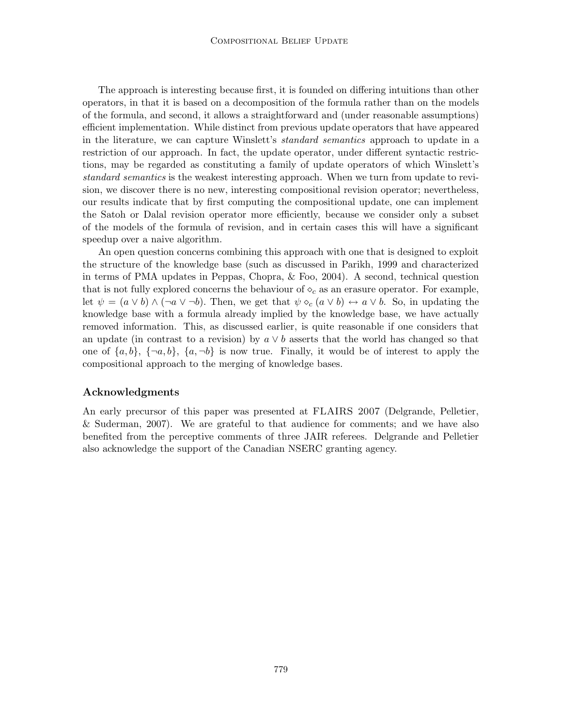The approach is interesting because first, it is founded on differing intuitions than other operators, in that it is based on a decomposition of the formula rather than on the models of the formula, and second, it allows a straightforward and (under reasonable assumptions) efficient implementation. While distinct from previous update operators that have appeared in the literature, we can capture Winslett's *standard semantics* approach to update in a restriction of our approach. In fact, the update operator, under different syntactic restrictions, may be regarded as constituting a family of update operators of which Winslett's standard semantics is the weakest interesting approach. When we turn from update to revision, we discover there is no new, interesting compositional revision operator; nevertheless, our results indicate that by first computing the compositional update, one can implement the Satoh or Dalal revision operator more efficiently, because we consider only a subset of the models of the formula of revision, and in certain cases this will have a significant speedup over a naive algorithm.

An open question concerns combining this approach with one that is designed to exploit the structure of the knowledge base (such as discussed in Parikh, 1999 and characterized in terms of PMA updates in Peppas, Chopra, & Foo, 2004). A second, technical question that is not fully explored concerns the behaviour of  $\diamond_c$  as an erasure operator. For example, let  $\psi = (a \vee b) \wedge (\neg a \vee \neg b)$ . Then, we get that  $\psi \diamond_c (a \vee b) \leftrightarrow a \vee b$ . So, in updating the knowledge base with a formula already implied by the knowledge base, we have actually removed information. This, as discussed earlier, is quite reasonable if one considers that an update (in contrast to a revision) by  $a \vee b$  asserts that the world has changed so that one of  $\{a,b\},\{\neg a,b\},\{a,\neg b\}$  is now true. Finally, it would be of interest to apply the compositional approach to the merging of knowledge bases.

# Acknowledgments

An early precursor of this paper was presented at FLAIRS 2007 (Delgrande, Pelletier, & Suderman, 2007). We are grateful to that audience for comments; and we have also benefited from the perceptive comments of three JAIR referees. Delgrande and Pelletier also acknowledge the support of the Canadian NSERC granting agency.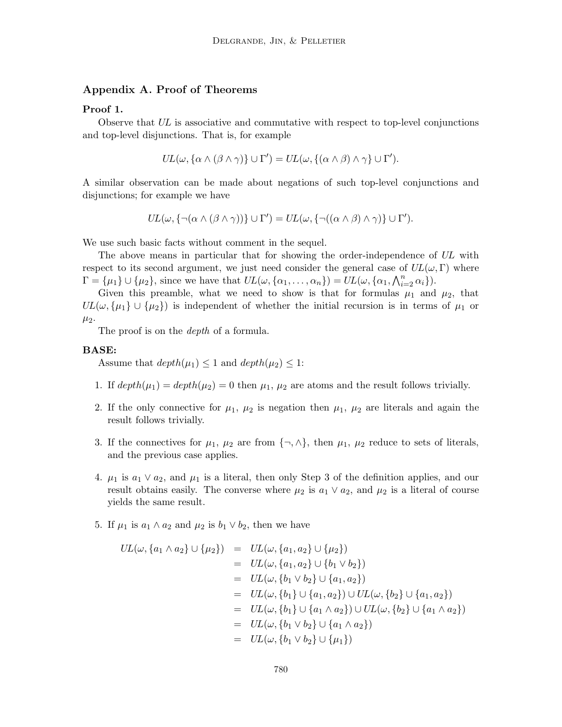# Appendix A. Proof of Theorems

#### Proof 1.

Observe that UL is associative and commutative with respect to top-level conjunctions and top-level disjunctions. That is, for example

$$
UL(\omega, \{\alpha \wedge (\beta \wedge \gamma)\} \cup \Gamma') = UL(\omega, \{(\alpha \wedge \beta) \wedge \gamma\} \cup \Gamma').
$$

A similar observation can be made about negations of such top-level conjunctions and disjunctions; for example we have

$$
UL(\omega, \{\neg(\alpha \wedge (\beta \wedge \gamma))\} \cup \Gamma') = UL(\omega, \{\neg((\alpha \wedge \beta) \wedge \gamma)\} \cup \Gamma').
$$

We use such basic facts without comment in the sequel.

The above means in particular that for showing the order-independence of UL with respect to its second argument, we just need consider the general case of  $UL(\omega, \Gamma)$  where  $\Gamma = {\mu_1} \cup {\mu_2}$ , since we have that  $UL(\omega, {\{\alpha_1, \ldots, \alpha_n\}}) = UL(\omega, {\{\alpha_1, \bigwedge_{i=2}^n \alpha_i\}})$ .

Given this preamble, what we need to show is that for formulas  $\mu_1$  and  $\mu_2$ , that  $UL(\omega, {\mu_1} \cup {\mu_2})$  is independent of whether the initial recursion is in terms of  $\mu_1$  or  $\mu_2$ .

The proof is on the *depth* of a formula.

## BASE:

Assume that  $depth(\mu_1) \leq 1$  and  $depth(\mu_2) \leq 1$ :

- 1. If  $depth(\mu_1) = depth(\mu_2) = 0$  then  $\mu_1, \mu_2$  are atoms and the result follows trivially.
- 2. If the only connective for  $\mu_1$ ,  $\mu_2$  is negation then  $\mu_1$ ,  $\mu_2$  are literals and again the result follows trivially.
- 3. If the connectives for  $\mu_1$ ,  $\mu_2$  are from  $\{\neg, \wedge\}$ , then  $\mu_1$ ,  $\mu_2$  reduce to sets of literals, and the previous case applies.
- 4.  $\mu_1$  is  $a_1 \vee a_2$ , and  $\mu_1$  is a literal, then only Step 3 of the definition applies, and our result obtains easily. The converse where  $\mu_2$  is  $a_1 \vee a_2$ , and  $\mu_2$  is a literal of course yields the same result.
- 5. If  $\mu_1$  is  $a_1 \wedge a_2$  and  $\mu_2$  is  $b_1 \vee b_2$ , then we have

$$
UL(\omega, \{a_1 \wedge a_2\} \cup \{\mu_2\}) = UL(\omega, \{a_1, a_2\} \cup \{\mu_2\})
$$
  
\n
$$
= UL(\omega, \{a_1, a_2\} \cup \{b_1 \vee b_2\})
$$
  
\n
$$
= UL(\omega, \{b_1 \vee b_2\} \cup \{a_1, a_2\})
$$
  
\n
$$
= UL(\omega, \{b_1\} \cup \{a_1, a_2\}) \cup UL(\omega, \{b_2\} \cup \{a_1, a_2\})
$$
  
\n
$$
= UL(\omega, \{b_1\} \cup \{a_1 \wedge a_2\}) \cup UL(\omega, \{b_2\} \cup \{a_1 \wedge a_2\})
$$
  
\n
$$
= UL(\omega, \{b_1 \vee b_2\} \cup \{a_1 \wedge a_2\})
$$
  
\n
$$
= UL(\omega, \{b_1 \vee b_2\} \cup \{a_1 \wedge a_2\})
$$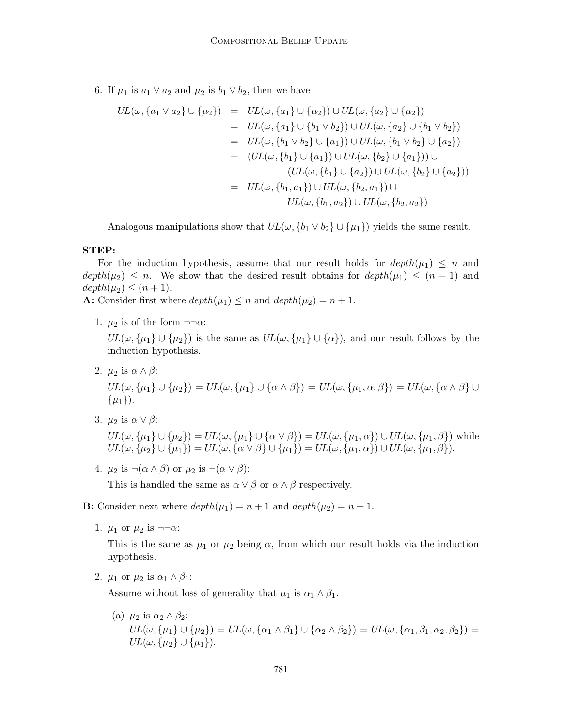6. If  $\mu_1$  is  $a_1 \vee a_2$  and  $\mu_2$  is  $b_1 \vee b_2$ , then we have

$$
UL(\omega, \{a_1 \vee a_2\} \cup \{\mu_2\}) = UL(\omega, \{a_1\} \cup \{\mu_2\}) \cup UL(\omega, \{a_2\} \cup \{\mu_2\})
$$
  
\n
$$
= UL(\omega, \{a_1\} \cup \{b_1 \vee b_2\}) \cup UL(\omega, \{a_2\} \cup \{b_1 \vee b_2\})
$$
  
\n
$$
= UL(\omega, \{b_1 \vee b_2\} \cup \{a_1\}) \cup UL(\omega, \{b_1 \vee b_2\} \cup \{a_2\})
$$
  
\n
$$
= (UL(\omega, \{b_1\} \cup \{a_1\}) \cup UL(\omega, \{b_2\} \cup \{a_1\})) \cup
$$
  
\n
$$
(UL(\omega, \{b_1\} \cup \{a_2\}) \cup UL(\omega, \{b_2\} \cup \{a_2\}))
$$
  
\n
$$
= UL(\omega, \{b_1, a_1\}) \cup UL(\omega, \{b_2, a_1\}) \cup
$$
  
\n
$$
UL(\omega, \{b_1, a_2\}) \cup UL(\omega, \{b_2, a_2\})
$$

Analogous manipulations show that  $UL(\omega, \{b_1 \vee b_2\} \cup \{\mu_1\})$  yields the same result.

#### STEP:

For the induction hypothesis, assume that our result holds for  $depth(\mu_1) \leq n$  and  $depth(\mu_2) \leq n$ . We show that the desired result obtains for  $depth(\mu_1) \leq (n+1)$  and  $depth(\mu_2) \leq (n+1).$ 

**A:** Consider first where  $depth(\mu_1) \leq n$  and  $depth(\mu_2) = n + 1$ .

1.  $\mu_2$  is of the form  $\neg\neg\alpha$ :

 $UL(\omega, {\mu_1} \cup {\mu_2})$  is the same as  $UL(\omega, {\mu_1} \cup {\alpha})$ , and our result follows by the induction hypothesis.

2.  $\mu_2$  is  $\alpha \wedge \beta$ :

 $UL(\omega, {\mu_1} \cup {\mu_2}) = UL(\omega, {\mu_1} \cup {\alpha \wedge \beta}) = UL(\omega, {\mu_1, \alpha, \beta}) = UL(\omega, {\alpha \wedge \beta}) \cup$  $\{\mu_1\}$ ).

3.  $\mu_2$  is  $\alpha \vee \beta$ :

 $UL(\omega, {\mu_1} \cup {\mu_2}) = UL(\omega, {\mu_1} \cup {\alpha \vee \beta}) = UL(\omega, {\mu_1, \alpha}) \cup UL(\omega, {\mu_1, \beta})$  while  $UL(\omega, {\mu_2} \cup {\mu_1}) = UL(\omega, {\alpha \vee \beta} \cup {\mu_1}) = UL(\omega, {\mu_1, \alpha}) \cup UL(\omega, {\mu_1, \beta}).$ 

4.  $\mu_2$  is  $\neg(\alpha \wedge \beta)$  or  $\mu_2$  is  $\neg(\alpha \vee \beta)$ :

This is handled the same as  $\alpha \vee \beta$  or  $\alpha \wedge \beta$  respectively.

**B:** Consider next where  $depth(\mu_1) = n + 1$  and  $depth(\mu_2) = n + 1$ .

1.  $\mu_1$  or  $\mu_2$  is  $\neg\neg\alpha$ :

This is the same as  $\mu_1$  or  $\mu_2$  being  $\alpha$ , from which our result holds via the induction hypothesis.

2.  $\mu_1$  or  $\mu_2$  is  $\alpha_1 \wedge \beta_1$ :

Assume without loss of generality that  $\mu_1$  is  $\alpha_1 \wedge \beta_1$ .

(a)  $\mu_2$  is  $\alpha_2 \wedge \beta_2$ :  $UL(\omega, {\mu_1} \cup {\mu_2}) = UL(\omega, {\alpha_1 \wedge \beta_1} \cup {\alpha_2 \wedge \beta_2}) = UL(\omega, {\alpha_1, \beta_1, \alpha_2, \beta_2}) =$  $UL(\omega, {\mu_2} \cup {\mu_1}).$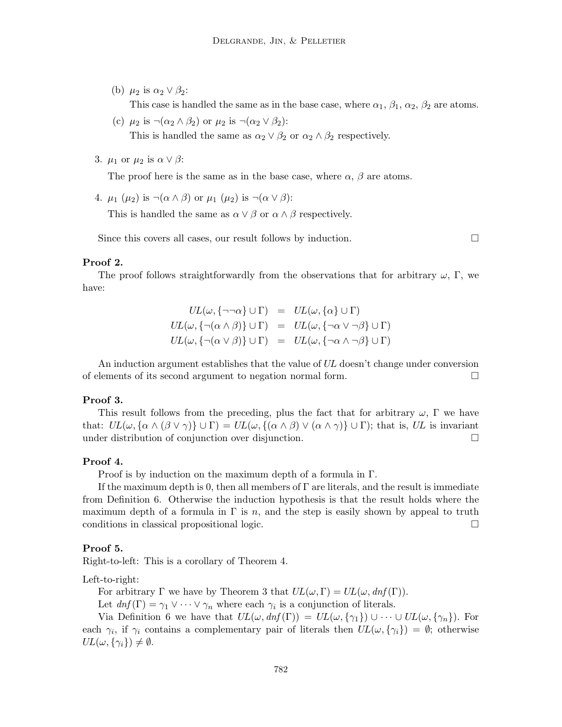(b)  $\mu_2$  is  $\alpha_2 \vee \beta_2$ :

This case is handled the same as in the base case, where  $\alpha_1$ ,  $\beta_1$ ,  $\alpha_2$ ,  $\beta_2$  are atoms.

- (c)  $\mu_2$  is  $\neg(\alpha_2 \land \beta_2)$  or  $\mu_2$  is  $\neg(\alpha_2 \lor \beta_2)$ : This is handled the same as  $\alpha_2 \vee \beta_2$  or  $\alpha_2 \wedge \beta_2$  respectively.
- 3.  $\mu_1$  or  $\mu_2$  is  $\alpha \vee \beta$ :

The proof here is the same as in the base case, where  $\alpha$ ,  $\beta$  are atoms.

4.  $\mu_1$  ( $\mu_2$ ) is  $\neg(\alpha \wedge \beta)$  or  $\mu_1$  ( $\mu_2$ ) is  $\neg(\alpha \vee \beta)$ :

This is handled the same as  $\alpha \vee \beta$  or  $\alpha \wedge \beta$  respectively.

Since this covers all cases, our result follows by induction.  $\Box$ 

# Proof 2.

The proof follows straightforwardly from the observations that for arbitrary  $\omega$ , Γ, we have:

$$
UL(\omega, \{\neg \neg \alpha\} \cup \Gamma) = UL(\omega, \{\alpha\} \cup \Gamma)
$$
  

$$
UL(\omega, \{\neg (\alpha \land \beta)\} \cup \Gamma) = UL(\omega, \{\neg \alpha \lor \neg \beta\} \cup \Gamma)
$$
  

$$
UL(\omega, \{\neg (\alpha \lor \beta)\} \cup \Gamma) = UL(\omega, \{\neg \alpha \land \neg \beta\} \cup \Gamma)
$$

An induction argument establishes that the value of UL doesn't change under conversion of elements of its second argument to negation normal form.

## Proof 3.

This result follows from the preceding, plus the fact that for arbitrary  $\omega$ , Γ we have that:  $UL(\omega, {\alpha \wedge (\beta \vee \gamma)} \cup \Gamma) = UL(\omega, {\alpha \wedge \beta}) \vee (\alpha \wedge \gamma) \cup \Gamma)$ ; that is, UL is invariant under distribution of conjunction over disjunction.

#### Proof 4.

Proof is by induction on the maximum depth of a formula in Γ.

If the maximum depth is 0, then all members of  $\Gamma$  are literals, and the result is immediate from Definition 6. Otherwise the induction hypothesis is that the result holds where the maximum depth of a formula in  $\Gamma$  is n, and the step is easily shown by appeal to truth conditions in classical propositional logic.

#### Proof 5.

Right-to-left: This is a corollary of Theorem 4.

Left-to-right:

For arbitrary  $\Gamma$  we have by Theorem 3 that  $UL(\omega, \Gamma) = UL(\omega, dnf(\Gamma)).$ 

Let  $dnf(\Gamma) = \gamma_1 \vee \cdots \vee \gamma_n$  where each  $\gamma_i$  is a conjunction of literals.

Via Definition 6 we have that  $UL(\omega, dnf(\Gamma)) = UL(\omega, {\gamma_1}) \cup \cdots \cup UL(\omega, {\gamma_n}).$  For each  $\gamma_i$ , if  $\gamma_i$  contains a complementary pair of literals then  $UL(\omega, {\gamma_i}) = \emptyset$ ; otherwise  $UL(\omega, {\gamma_i}) \neq \emptyset.$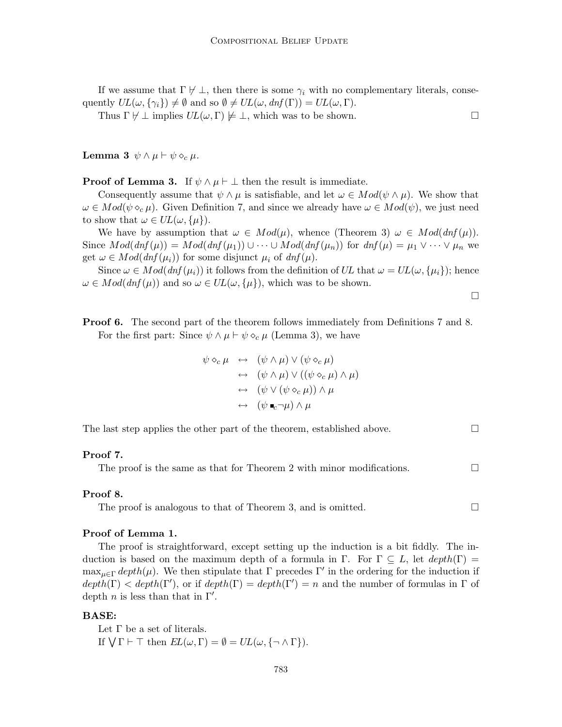If we assume that  $\Gamma \not\vdash \bot$ , then there is some  $\gamma_i$  with no complementary literals, consequently  $UL(\omega, \{\gamma_i\}) \neq \emptyset$  and so  $\emptyset \neq UL(\omega, dnf(\Gamma)) = UL(\omega, \Gamma)$ .

Thus  $\Gamma \not\vdash \bot$  implies  $UL(\omega, \Gamma) \not\models \bot$ , which was to be shown.

Lemma 3  $\psi \wedge \mu \vdash \psi \diamond_c \mu$ .

**Proof of Lemma 3.** If  $\psi \wedge \mu \vdash \bot$  then the result is immediate.

Consequently assume that  $\psi \wedge \mu$  is satisfiable, and let  $\omega \in Mod(\psi \wedge \mu)$ . We show that  $\omega \in Mod(\psi \diamond_c \mu)$ . Given Definition 7, and since we already have  $\omega \in Mod(\psi)$ , we just need to show that  $\omega \in UL(\omega, {\{\mu\}})$ .

We have by assumption that  $\omega \in Mod(\mu)$ , whence (Theorem 3)  $\omega \in Mod(dnf(\mu))$ . Since  $Mod(dnf(\mu)) = Mod(dnf(\mu_1)) \cup \cdots \cup Mod(dnf(\mu_n))$  for  $dnf(\mu) = \mu_1 \vee \cdots \vee \mu_n$  we get  $\omega \in Mod(dnf(\mu_i))$  for some disjunct  $\mu_i$  of  $dnf(\mu)$ .

Since  $\omega \in Mod(dnf(\mu_i))$  it follows from the definition of UL that  $\omega = UL(\omega, {\mu_i})$ ; hence  $\omega \in Mod(dnf(\mu))$  and so  $\omega \in UL(\omega, {\{\mu\}})$ , which was to be shown.

 $\Box$ 

**Proof 6.** The second part of the theorem follows immediately from Definitions 7 and 8. For the first part: Since  $\psi \wedge \mu \vdash \psi \diamond_c \mu$  (Lemma 3), we have

$$
\psi \diamond_c \mu \leftrightarrow (\psi \land \mu) \lor (\psi \diamond_c \mu)
$$
  
\n
$$
\leftrightarrow (\psi \land \mu) \lor ((\psi \diamond_c \mu) \land \mu)
$$
  
\n
$$
\leftrightarrow (\psi \lor (\psi \diamond_c \mu)) \land \mu
$$
  
\n
$$
\leftrightarrow (\psi \bullet_c \neg \mu) \land \mu
$$

The last step applies the other part of the theorem, established above.  $\Box$ 

#### Proof 7.

The proof is the same as that for Theorem 2 with minor modifications.  $\Box$ 

#### Proof 8.

The proof is analogous to that of Theorem 3, and is omitted.  $\Box$ 

#### Proof of Lemma 1.

The proof is straightforward, except setting up the induction is a bit fiddly. The induction is based on the maximum depth of a formula in Γ. For  $\Gamma \subseteq L$ , let  $depth(\Gamma) =$ max<sub> $\mu \in \Gamma$ </sub> depth( $\mu$ ). We then stipulate that  $\Gamma$  precedes  $\Gamma'$  in the ordering for the induction if  $depth(\Gamma) < depth(\Gamma')$ , or if  $depth(\Gamma) = depth(\Gamma') = n$  and the number of formulas in  $\Gamma$  of depth *n* is less than that in  $\Gamma'$ .

#### BASE:

Let  $\Gamma$  be a set of literals. If  $\bigvee \Gamma \vdash \top$  then  $EL(\omega, \Gamma) = \emptyset = UL(\omega, \{\neg \wedge \Gamma\}).$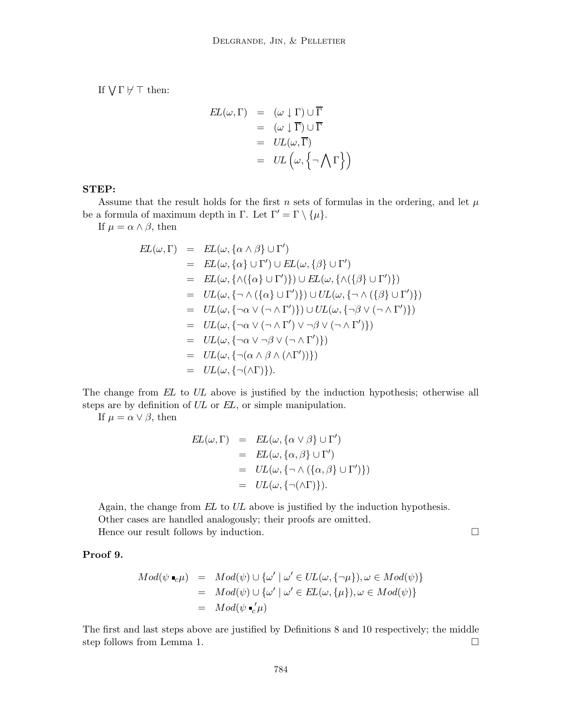If  $\bigvee \Gamma \not\vdash \top$  then:

$$
EL(\omega, \Gamma) = (\omega \downarrow \Gamma) \cup \overline{\Gamma} = (\omega \downarrow \overline{\Gamma}) \cup \overline{\Gamma} = UL(\omega, \overline{\Gamma}) = UL(\omega, {\neg \bigwedge \Gamma})
$$

# STEP:

Assume that the result holds for the first n sets of formulas in the ordering, and let  $\mu$ be a formula of maximum depth in Γ. Let  $\Gamma' = \Gamma \setminus \{\mu\}.$ 

If  $\mu = \alpha \wedge \beta$ , then

$$
EL(\omega, \Gamma) = EL(\omega, {\alpha \wedge \beta} \cup \Gamma')
$$
  
\n
$$
= EL(\omega, {\alpha \wedge \beta} \cup \Gamma') \cup EL(\omega, {\beta} \cup \Gamma')
$$
  
\n
$$
= EL(\omega, {\{\wedge(\{\alpha\} \cup \Gamma'\})}\cup EL(\omega, {\{\wedge(\{\beta\} \cup \Gamma'\})}\))
$$
  
\n
$$
= UL(\omega, {\{\wedge(\{\alpha\} \cup \Gamma'\})}\cup UL(\omega, {\{\wedge(\{\beta\} \cup \Gamma'\})}\))
$$
  
\n
$$
= UL(\omega, {\{\neg \wedge(\{\alpha\} \cup \Gamma'\})}\cup UL(\omega, {\{\neg \wedge(\{\beta\} \cup \Gamma'\})}\))
$$
  
\n
$$
= UL(\omega, {\{\neg \alpha \vee (\neg \wedge \Gamma') \vee \neg \beta \vee (\neg \wedge \Gamma')\}})
$$
  
\n
$$
= UL(\omega, {\{\neg \alpha \vee \neg \beta \vee (\neg \wedge \Gamma')\}})
$$
  
\n
$$
= UL(\omega, {\{\neg(\alpha \wedge \beta \wedge (\wedge \Gamma'))\}})
$$
  
\n
$$
= UL(\omega, {\{\neg(\alpha \wedge \beta \wedge (\wedge \Gamma'))\}})
$$

The change from EL to UL above is justified by the induction hypothesis; otherwise all steps are by definition of UL or EL, or simple manipulation.

If  $\mu = \alpha \vee \beta$ , then

$$
EL(\omega, \Gamma) = EL(\omega, {\alpha \vee \beta} \cup \Gamma')
$$
  
= EL(\omega, {\alpha, \beta} \cup \Gamma')  
= UL(\omega, {\neg \wedge (\{\alpha, \beta\} \cup \Gamma')})  
= UL(\omega, {\neg \wedge (\{\alpha, \beta\} \cup \Gamma')})  
= UL(\omega, {\neg(\wedge \Gamma)}).

Again, the change from EL to UL above is justified by the induction hypothesis. Other cases are handled analogously; their proofs are omitted. Hence our result follows by induction.  $\Box$ 

# Proof 9.

$$
Mod(\psi \bullet_{c} \mu) = Mod(\psi) \cup {\omega' | \omega' \in UL(\omega, {\neg \mu}), \omega \in Mod(\psi)}
$$
  
=  $Mod(\psi) \cup {\omega' | \omega' \in EL(\omega, {\mu}), \omega \in Mod(\psi)}$   
=  $Mod(\psi \bullet_{c}' \mu)$ 

The first and last steps above are justified by Definitions 8 and 10 respectively; the middle step follows from Lemma 1.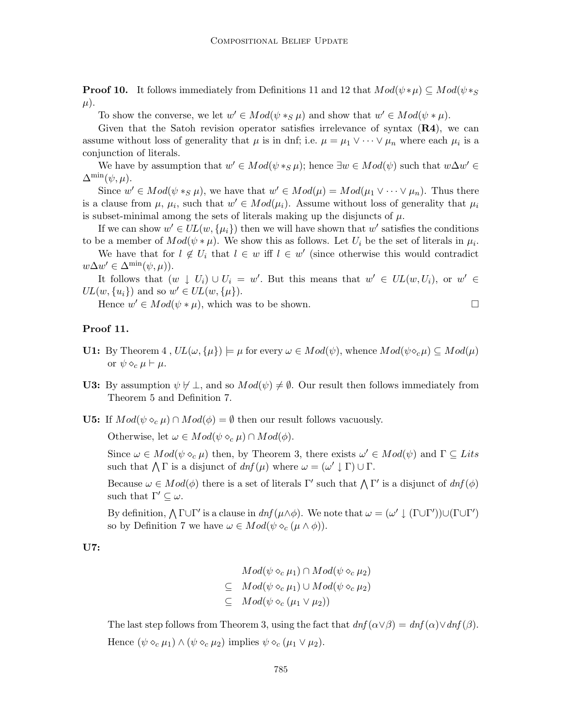**Proof 10.** It follows immediately from Definitions 11 and 12 that  $Mod(\psi * \mu) \subseteq Mod(\psi *_{S}$  $\mu$ ).

To show the converse, we let  $w' \in Mod(\psi *_{S} \mu)$  and show that  $w' \in Mod(\psi * \mu)$ .

Given that the Satoh revision operator satisfies irrelevance of syntax  $(R4)$ , we can assume without loss of generality that  $\mu$  is in dnf; i.e.  $\mu = \mu_1 \vee \cdots \vee \mu_n$  where each  $\mu_i$  is a conjunction of literals.

We have by assumption that  $w' \in Mod(\psi *_{S}\mu)$ ; hence  $\exists w \in Mod(\psi)$  such that  $w\Delta w' \in Mod(\psi *_{S}\mu)$  $\Delta^{\min}(\psi,\mu).$ 

Since  $w' \in Mod(\psi *_{S} \mu)$ , we have that  $w' \in Mod(\mu) = Mod(\mu_1 \vee \cdots \vee \mu_n)$ . Thus there is a clause from  $\mu$ ,  $\mu_i$ , such that  $w' \in Mod(\mu_i)$ . Assume without loss of generality that  $\mu_i$ is subset-minimal among the sets of literals making up the disjuncts of  $\mu$ .

If we can show  $w' \in UL(w, \{\mu_i\})$  then we will have shown that  $w'$  satisfies the conditions to be a member of  $Mod(\psi * \mu)$ . We show this as follows. Let  $U_i$  be the set of literals in  $\mu_i$ .

We have that for  $l \notin U_i$  that  $l \in w$  iff  $l \in w'$  (since otherwise this would contradict  $w\Delta w' \in \Delta^{\min}(\psi,\mu)).$ 

It follows that  $(w \downarrow U_i) \cup U_i = w'$ . But this means that  $w' \in UL(w, U_i)$ , or  $w' \in$  $UL(w, \{u_i\})$  and so  $w' \in UL(w, \{\mu\}).$ 

Hence  $w' \in Mod(\psi * \mu)$ , which was to be shown.

## Proof 11.

- **U1:** By Theorem 4,  $UL(\omega, {\mu}) \models \mu$  for every  $\omega \in Mod(\psi)$ , whence  $Mod(\psi \circ_{c} \mu) \subseteq Mod(\mu)$ or  $\psi \diamond_c \mu \vdash \mu$ .
- **U3:** By assumption  $\psi \not\vdash \bot$ , and so  $Mod(\psi) \neq \emptyset$ . Our result then follows immediately from Theorem 5 and Definition 7.
- **U5:** If  $Mod(\psi \circ_{c} \mu) \cap Mod(\phi) = \emptyset$  then our result follows vacuously.

Otherwise, let  $\omega \in Mod(\psi \diamond_c \mu) \cap Mod(\phi)$ .

Since  $\omega \in Mod(\psi \circ_{c} \mu)$  then, by Theorem 3, there exists  $\omega' \in Mod(\psi)$  and  $\Gamma \subseteq Lits$ such that  $\bigwedge \Gamma$  is a disjunct of  $dnf(\mu)$  where  $\omega = (\omega' \downarrow \Gamma) \cup \Gamma$ .

Because  $\omega \in Mod(\phi)$  there is a set of literals  $\Gamma'$  such that  $\Lambda \Gamma'$  is a disjunct of  $dnf(\phi)$ such that  $\Gamma' \subset \omega$ .

By definition,  $\bigwedge \Gamma \cup \Gamma'$  is a clause in  $dnf(\mu \wedge \phi)$ . We note that  $\omega = (\omega' \downarrow (\Gamma \cup \Gamma')) \cup (\Gamma \cup \Gamma')$ so by Definition 7 we have  $\omega \in Mod(\psi \diamond_c (\mu \wedge \phi)).$ 

U7:

$$
Mod(\psi \diamond_c \mu_1) \cap Mod(\psi \diamond_c \mu_2)
$$
  
\n
$$
\subseteq Mod(\psi \diamond_c \mu_1) \cup Mod(\psi \diamond_c \mu_2)
$$
  
\n
$$
\subseteq Mod(\psi \diamond_c (\mu_1 \vee \mu_2))
$$

The last step follows from Theorem 3, using the fact that  $dnf(\alpha \vee \beta) = dnf(\alpha) \vee dnf(\beta)$ . Hence  $(\psi \circ_c \mu_1) \wedge (\psi \circ_c \mu_2)$  implies  $\psi \circ_c (\mu_1 \vee \mu_2)$ .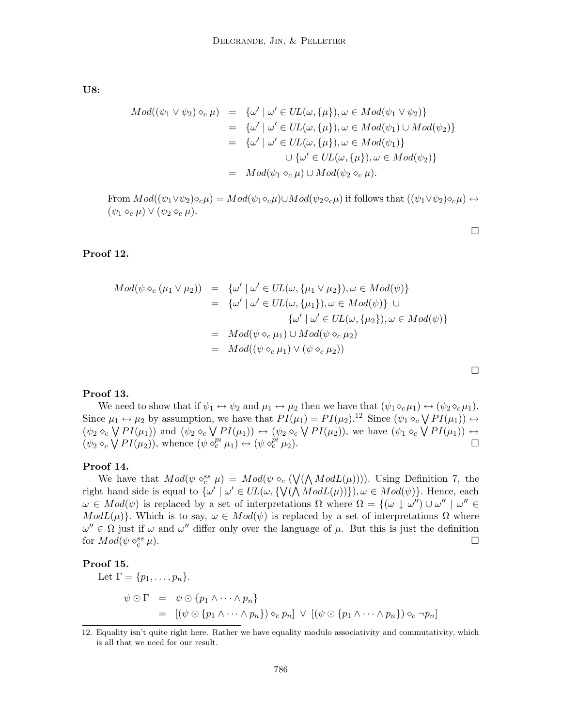U8:

$$
Mod((\psi_1 \vee \psi_2) \diamond_c \mu) = {\omega' | \omega' \in UL(\omega, {\mu}), \omega \in Mod(\psi_1 \vee \psi_2)}
$$
  
\n
$$
= {\omega' | \omega' \in UL(\omega, {\mu}), \omega \in Mod(\psi_1) \cup Mod(\psi_2)}
$$
  
\n
$$
= {\omega' | \omega' \in UL(\omega, {\mu}), \omega \in Mod(\psi_1)}
$$
  
\n
$$
\cup {\omega' \in UL(\omega, {\mu}), \omega \in Mod(\psi_2)}
$$
  
\n
$$
= Mod(\psi_1 \diamond_c \mu) \cup Mod(\psi_2 \diamond_c \mu).
$$

From  $Mod((\psi_1 \vee \psi_2) \diamond_c \mu) = Mod(\psi_1 \diamond_c \mu) \cup Mod(\psi_2 \diamond_c \mu)$  it follows that  $((\psi_1 \vee \psi_2) \diamond_c \mu) \leftrightarrow$  $(\psi_1 \diamond_c \mu) \vee (\psi_2 \diamond_c \mu).$ 

 $\Box$ 

 $\Box$ 

# Proof 12.

$$
Mod(\psi \diamond_c (\mu_1 \vee \mu_2)) = {\omega' | \omega' \in UL(\omega, {\mu_1 \vee \mu_2}), \omega \in Mod(\psi)}
$$
  
\n
$$
= {\omega' | \omega' \in UL(\omega, {\mu_1}), \omega \in Mod(\psi)} \cup
$$
  
\n
$$
\omega' | \omega' \in UL(\omega, {\mu_2}), \omega \in Mod(\psi)}
$$
  
\n
$$
= Mod(\psi \diamond_c \mu_1) \cup Mod(\psi \diamond_c \mu_2)
$$
  
\n
$$
= Mod((\psi \diamond_c \mu_1) \vee (\psi \diamond_c \mu_2))
$$

# Proof 13.

We need to show that if  $\psi_1 \leftrightarrow \psi_2$  and  $\mu_1 \leftrightarrow \mu_2$  then we have that  $(\psi_1 \diamond_c \mu_1) \leftrightarrow (\psi_2 \diamond_c \mu_1)$ . Since  $\mu_1 \leftrightarrow \mu_2$  by assumption, we have that  $PI(\mu_1) = PI(\mu_2)$ .<sup>12</sup> Since  $(\psi_1 \circ_c \bigvee PI(\mu_1)) \leftrightarrow$  $(\psi_2 \circ_c \bigvee PI(\mu_1))$  and  $(\psi_2 \circ_c \bigvee PI(\mu_1)) \leftrightarrow (\psi_2 \circ_c \bigvee PI(\mu_2))$ , we have  $(\psi_1 \circ_c \bigvee PI(\mu_1)) \leftrightarrow$  $(\psi_2 \diamond_c \bigvee PI(\mu_2)),$  whence  $(\psi \diamond_c^{pi} \mu_1) \leftrightarrow (\psi \diamond_c^{pi} \mu_2).$ 

#### Proof 14.

We have that  $Mod(\psi \circ_c^{ss} \mu) = Mod(\psi \circ_c (\bigvee(\bigwedge ModL(\mu))))$ . Using Definition 7, the right hand side is equal to  $\{\omega' \mid \omega' \in UL(\omega, \{\mathcal{V}(\Lambda \text{Mod}L(\mu))\}), \omega \in \text{Mod}(\psi)\}.$  Hence, each  $\omega \in Mod(\psi)$  is replaced by a set of interpretations  $\Omega$  where  $\Omega = \{(\omega \downarrow \omega'') \cup \omega'' \mid \omega'' \in \mathbb{R}^d\}$  $ModL(\mu)$ . Which is to say,  $\omega \in Mod(\psi)$  is replaced by a set of interpretations  $\Omega$  where  $\omega'' \in \Omega$  just if  $\omega$  and  $\omega''$  differ only over the language of  $\mu$ . But this is just the definition for  $Mod(\psi \diamond_c^{ss})$  $c^{ss}$   $\mu$ ).

#### Proof 15.

Let  $\Gamma = \{p_1, \ldots, p_n\}.$  $\psi \odot \Gamma = \psi \odot \{p_1 \wedge \cdots \wedge p_n\}$ =  $[(\psi \odot \{p_1 \wedge \cdots \wedge p_n\}) \diamond_c p_n] \vee [(\psi \odot \{p_1 \wedge \cdots \wedge p_n\}) \diamond_c \neg p_n]$ 

<sup>12.</sup> Equality isn't quite right here. Rather we have equality modulo associativity and commutativity, which is all that we need for our result.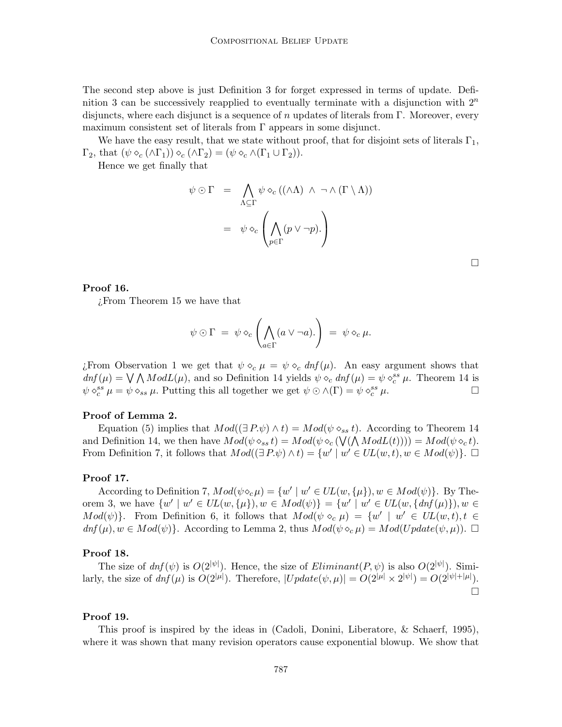The second step above is just Definition 3 for forget expressed in terms of update. Definition 3 can be successively reapplied to eventually terminate with a disjunction with  $2^n$ disjuncts, where each disjunct is a sequence of n updates of literals from Γ. Moreover, every maximum consistent set of literals from  $\Gamma$  appears in some disjunct.

We have the easy result, that we state without proof, that for disjoint sets of literals  $\Gamma_1$ ,  $\Gamma_2$ , that  $(\psi \diamond_c (\wedge \Gamma_1)) \diamond_c (\wedge \Gamma_2) = (\psi \diamond_c \wedge (\Gamma_1 \cup \Gamma_2)).$ 

Hence we get finally that

$$
\psi \odot \Gamma = \bigwedge_{\Lambda \subseteq \Gamma} \psi \diamond_c ((\land \Lambda) \land \neg \land (\Gamma \setminus \Lambda))
$$

$$
= \psi \diamond_c \left( \bigwedge_{p \in \Gamma} (p \lor \neg p).
$$

#### Proof 16.

¿From Theorem 15 we have that

$$
\psi \odot \Gamma = \psi \diamond_c \left( \bigwedge_{a \in \Gamma} (a \vee \neg a). \right) = \psi \diamond_c \mu.
$$

*i*. From Observation 1 we get that  $\psi \diamond_c \mu = \psi \diamond_c \text{dnf}(\mu)$ . An easy argument shows that  $dnf(\mu) = \bigvee \bigwedge ModL(\mu)$ , and so Definition 14 yields  $\psi \diamond_c dnf(\mu) = \psi \diamond_c^{ss} \mu$ . Theorem 14 is  $\psi \diamond_c^{ss} \mu = \psi \diamond_{ss} \mu$ . Putting this all together we get  $\psi \odot \wedge (\Gamma) = \psi \diamond_c^{ss} \mu$ .

# Proof of Lemma 2.

Equation (5) implies that  $Mod((\exists P.\psi) \wedge t) = Mod(\psi \diamond_{ss} t)$ . According to Theorem 14 and Definition 14, we then have  $Mod(\psi \diamond_{ss} t) = Mod(\psi \diamond_c (\bigvee(\bigwedge ModL(t)))) = Mod(\psi \diamond_c t)$ . From Definition 7, it follows that  $Mod((\exists P.\psi) \wedge t) = \{w' \mid w' \in UL(w,t), w \in Mod(\psi)\}.$ 

#### Proof 17.

According to Definition 7,  $Mod(\psi \diamond_c \mu) = \{w' \mid w' \in UL(w, \{\mu\}), w \in Mod(\psi)\}.$  By Theorem 3, we have  $\{w' \mid w' \in UL(w, \{\mu\}), w \in Mod(\psi)\} = \{w' \mid w' \in UL(w, \{dnf(\mu)\}), w \in \psi\}$  $Mod(\psi)$ . From Definition 6, it follows that  $Mod(\psi \circ_{c} \mu) = \{w' \mid w' \in UL(w,t), t \in$  $dnf(\mu), w \in Mod(\psi)$ . According to Lemma 2, thus  $Mod(\psi \circ_{\mathcal{C}} \mu) = Mod(Update(\psi, \mu))$ .  $\Box$ 

#### Proof 18.

The size of  $dnf(\psi)$  is  $O(2^{|\psi|})$ . Hence, the size of  $Eliminant(P, \psi)$  is also  $O(2^{|\psi|})$ . Similarly, the size of  $dnf(\mu)$  is  $O(2^{|\mu|})$ . Therefore,  $|Update(\psi, \mu)| = O(2^{|\mu|} \times 2^{|\psi|}) = O(2^{|\psi| + |\mu|})$ .  $\Box$ 

## Proof 19.

This proof is inspired by the ideas in (Cadoli, Donini, Liberatore, & Schaerf, 1995), where it was shown that many revision operators cause exponential blowup. We show that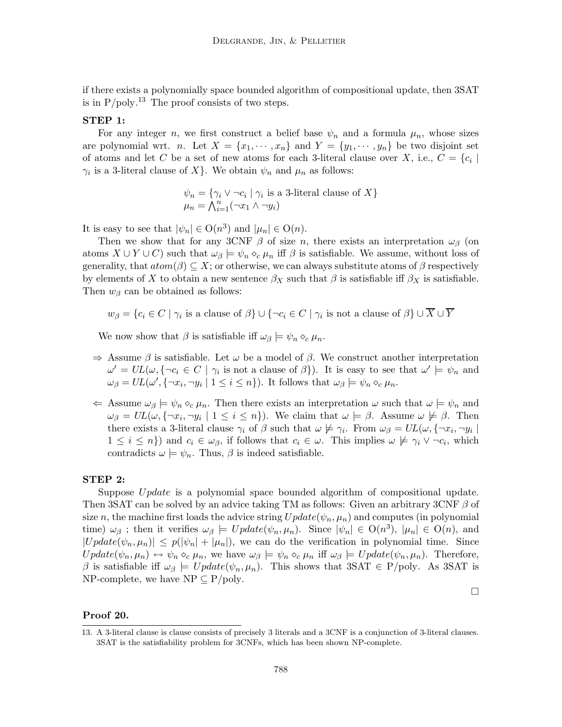if there exists a polynomially space bounded algorithm of compositional update, then 3SAT is in  $P/poly.<sup>13</sup>$  The proof consists of two steps.

# STEP 1:

For any integer n, we first construct a belief base  $\psi_n$  and a formula  $\mu_n$ , whose sizes are polynomial wrt. n. Let  $X = \{x_1, \dots, x_n\}$  and  $Y = \{y_1, \dots, y_n\}$  be two disjoint set of atoms and let C be a set of new atoms for each 3-literal clause over X, i.e.,  $C = \{c_i |$  $\gamma_i$  is a 3-literal clause of X}. We obtain  $\psi_n$  and  $\mu_n$  as follows:

$$
\psi_n = \{ \gamma_i \vee \neg c_i \mid \gamma_i \text{ is a 3-lateral clause of } X \}
$$

$$
\mu_n = \bigwedge_{i=1}^n (\neg x_1 \wedge \neg y_i)
$$

It is easy to see that  $|\psi_n| \in O(n^3)$  and  $|\mu_n| \in O(n)$ .

Then we show that for any 3CNF  $\beta$  of size n, there exists an interpretation  $\omega_{\beta}$  (on atoms  $X \cup Y \cup C$ ) such that  $\omega_{\beta} \models \psi_n \circ_c \mu_n$  iff  $\beta$  is satisfiable. We assume, without loss of generality, that  $atom(\beta) \subseteq X$ ; or otherwise, we can always substitute atoms of  $\beta$  respectively by elements of X to obtain a new sentence  $\beta_X$  such that  $\beta$  is satisfiable iff  $\beta_X$  is satisfiable. Then  $w_{\beta}$  can be obtained as follows:

$$
w_{\beta} = \{c_i \in C \mid \gamma_i \text{ is a clause of } \beta\} \cup \{\neg c_i \in C \mid \gamma_i \text{ is not a clause of } \beta\} \cup \overline{X} \cup \overline{Y}
$$

We now show that  $\beta$  is satisfiable iff  $\omega_{\beta} \models \psi_n \diamond_c \mu_n$ .

- $\Rightarrow$  Assume  $\beta$  is satisfiable. Let  $\omega$  be a model of  $\beta$ . We construct another interpretation  $\omega' = UL(\omega, \{\neg c_i \in C \mid \gamma_i \text{ is not a clause of } \beta\}).$  It is easy to see that  $\omega' \models \psi_n$  and  $\omega_{\beta} = UL(\omega', \{\neg x_i, \neg y_i \mid 1 \leq i \leq n\}).$  It follows that  $\omega_{\beta} \models \psi_n \diamond_c \mu_n$ .
- $\Leftrightarrow$  Assume  $\omega_{\beta} \models \psi_n \circ_c \mu_n$ . Then there exists an interpretation  $\omega$  such that  $\omega \models \psi_n$  and  $\omega_{\beta} = UL(\omega, \{\neg x_i, \neg y_i \mid 1 \leq i \leq n\}).$  We claim that  $\omega \models \beta$ . Assume  $\omega \not\models \beta$ . Then there exists a 3-literal clause  $\gamma_i$  of  $\beta$  such that  $\omega \not\models \gamma_i$ . From  $\omega_{\beta} = UL(\omega, {\{\neg x_i, \neg y_i \mid \}})$  $1 \leq i \leq n$ ) and  $c_i \in \omega_{\beta}$ , if follows that  $c_i \in \omega$ . This implies  $\omega \not\models \gamma_i \vee \neg c_i$ , which contradicts  $\omega \models \psi_n$ . Thus,  $\beta$  is indeed satisfiable.

#### STEP 2:

Suppose Update is a polynomial space bounded algorithm of compositional update. Then 3SAT can be solved by an advice taking TM as follows: Given an arbitrary 3CNF  $\beta$  of size n, the machine first loads the advice string  $Update(\psi_n, \mu_n)$  and computes (in polynomial time)  $\omega_{\beta}$ ; then it verifies  $\omega_{\beta} \models Update(\psi_n, \mu_n)$ . Since  $|\psi_n| \in O(n^3)$ ,  $|\mu_n| \in O(n)$ , and  $|Update(\psi_n,\mu_n)| \leq p(|\psi_n| + |\mu_n|)$ , we can do the verification in polynomial time. Since  $Update(\psi_n, \mu_n) \leftrightarrow \psi_n \diamond_c \mu_n$ , we have  $\omega_\beta \models \psi_n \diamond_c \mu_n$  iff  $\omega_\beta \models Update(\psi_n, \mu_n)$ . Therefore, β is satisfiable iff  $ω_β$   $\models Update(ψ_n, μ_n)$ . This shows that 3SAT  $\in$  P/poly. As 3SAT is NP-complete, we have  $NP \subseteq P/poly$ .

 $\Box$ 

## Proof 20.

<sup>13.</sup> A 3-literal clause is clause consists of precisely 3 literals and a 3CNF is a conjunction of 3-literal clauses. 3SAT is the satisfiability problem for 3CNFs, which has been shown NP-complete.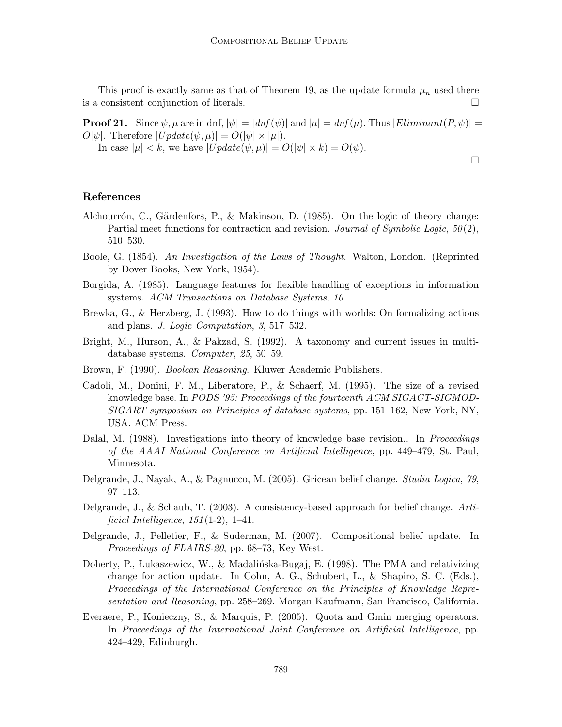This proof is exactly same as that of Theorem 19, as the update formula  $\mu_n$  used there is a consistent conjunction of literals.

**Proof 21.** Since  $\psi$ ,  $\mu$  are in dnf,  $|\psi| = |dnf(\psi)|$  and  $|\mu| = dnf(\mu)$ . Thus  $|Eliminant(P, \psi)| =$  $O[\psi]$ . Therefore  $|Update(\psi, \mu)| = O(|\psi| \times |\mu|)$ .

 $\Box$ 

In case  $|\mu| < k$ , we have  $|Update(\psi, \mu)| = O(|\psi| \times k) = O(\psi)$ .

#### References

- Alchourrón, C., Gärdenfors, P., & Makinson, D. (1985). On the logic of theory change: Partial meet functions for contraction and revision. Journal of Symbolic Logic, 50(2), 510–530.
- Boole, G. (1854). An Investigation of the Laws of Thought. Walton, London. (Reprinted by Dover Books, New York, 1954).
- Borgida, A. (1985). Language features for flexible handling of exceptions in information systems. ACM Transactions on Database Systems, 10.
- Brewka, G., & Herzberg, J. (1993). How to do things with worlds: On formalizing actions and plans. J. Logic Computation, 3, 517–532.
- Bright, M., Hurson, A., & Pakzad, S. (1992). A taxonomy and current issues in multidatabase systems. Computer, 25, 50–59.
- Brown, F. (1990). Boolean Reasoning. Kluwer Academic Publishers.
- Cadoli, M., Donini, F. M., Liberatore, P., & Schaerf, M. (1995). The size of a revised knowledge base. In PODS '95: Proceedings of the fourteenth ACM SIGACT-SIGMOD-SIGART symposium on Principles of database systems, pp. 151–162, New York, NY, USA. ACM Press.
- Dalal, M. (1988). Investigations into theory of knowledge base revision.. In *Proceedings* of the AAAI National Conference on Artificial Intelligence, pp. 449–479, St. Paul, Minnesota.
- Delgrande, J., Nayak, A., & Pagnucco, M. (2005). Gricean belief change. Studia Logica, 79, 97–113.
- Delgrande, J., & Schaub, T. (2003). A consistency-based approach for belief change. Artificial Intelligence,  $151(1-2)$ , 1-41.
- Delgrande, J., Pelletier, F., & Suderman, M. (2007). Compositional belief update. In Proceedings of FLAIRS-20, pp. 68–73, Key West.
- Doherty, P., Lukaszewicz, W., & Madalińska-Bugaj, E. (1998). The PMA and relativizing change for action update. In Cohn, A. G., Schubert, L., & Shapiro, S. C. (Eds.), Proceedings of the International Conference on the Principles of Knowledge Representation and Reasoning, pp. 258–269. Morgan Kaufmann, San Francisco, California.
- Everaere, P., Konieczny, S., & Marquis, P. (2005). Quota and Gmin merging operators. In Proceedings of the International Joint Conference on Artificial Intelligence, pp. 424–429, Edinburgh.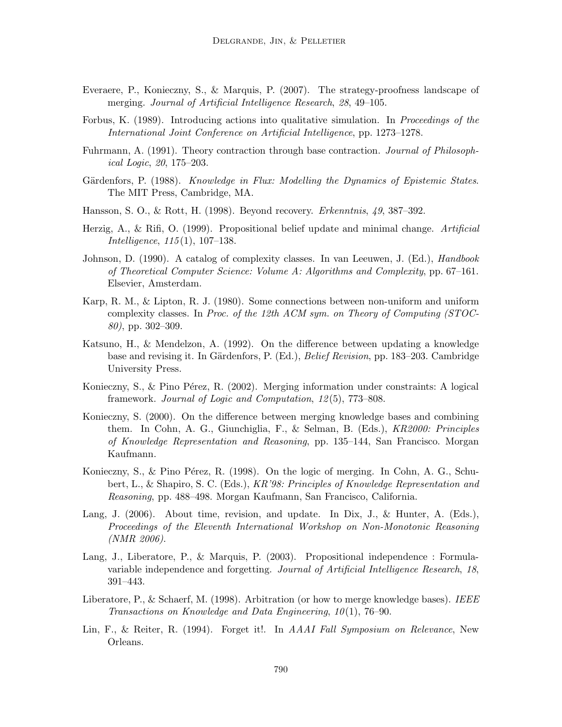- Everaere, P., Konieczny, S., & Marquis, P. (2007). The strategy-proofness landscape of merging. Journal of Artificial Intelligence Research, 28, 49–105.
- Forbus, K. (1989). Introducing actions into qualitative simulation. In *Proceedings of the* International Joint Conference on Artificial Intelligence, pp. 1273–1278.
- Fuhrmann, A. (1991). Theory contraction through base contraction. Journal of Philosophical Logic, 20, 175–203.
- Gärdenfors, P. (1988). Knowledge in Flux: Modelling the Dynamics of Epistemic States. The MIT Press, Cambridge, MA.
- Hansson, S. O., & Rott, H. (1998). Beyond recovery. Erkenntnis, 49, 387–392.
- Herzig, A., & Rifi, O. (1999). Propositional belief update and minimal change. Artificial Intelligence, 115(1), 107–138.
- Johnson, D. (1990). A catalog of complexity classes. In van Leeuwen, J. (Ed.), *Handbook* of Theoretical Computer Science: Volume A: Algorithms and Complexity, pp. 67–161. Elsevier, Amsterdam.
- Karp, R. M., & Lipton, R. J. (1980). Some connections between non-uniform and uniform complexity classes. In Proc. of the 12th ACM sym. on Theory of Computing (STOC-80), pp. 302–309.
- Katsuno, H., & Mendelzon, A. (1992). On the difference between updating a knowledge base and revising it. In Gärdenfors, P. (Ed.), *Belief Revision*, pp. 183–203. Cambridge University Press.
- Konieczny, S., & Pino Pérez, R. (2002). Merging information under constraints: A logical framework. Journal of Logic and Computation, 12(5), 773–808.
- Konieczny, S. (2000). On the difference between merging knowledge bases and combining them. In Cohn, A. G., Giunchiglia, F., & Selman, B. (Eds.), KR2000: Principles of Knowledge Representation and Reasoning, pp. 135–144, San Francisco. Morgan Kaufmann.
- Konieczny, S., & Pino Pérez, R. (1998). On the logic of merging. In Cohn, A. G., Schubert, L., & Shapiro, S. C. (Eds.), KR'98: Principles of Knowledge Representation and Reasoning, pp. 488–498. Morgan Kaufmann, San Francisco, California.
- Lang, J. (2006). About time, revision, and update. In Dix, J., & Hunter, A. (Eds.), Proceedings of the Eleventh International Workshop on Non-Monotonic Reasoning (NMR 2006).
- Lang, J., Liberatore, P., & Marquis, P. (2003). Propositional independence : Formulavariable independence and forgetting. Journal of Artificial Intelligence Research, 18, 391–443.
- Liberatore, P., & Schaerf, M. (1998). Arbitration (or how to merge knowledge bases). IEEE Transactions on Knowledge and Data Engineering, 10(1), 76–90.
- Lin, F., & Reiter, R. (1994). Forget it!. In *AAAI Fall Symposium on Relevance*, New Orleans.